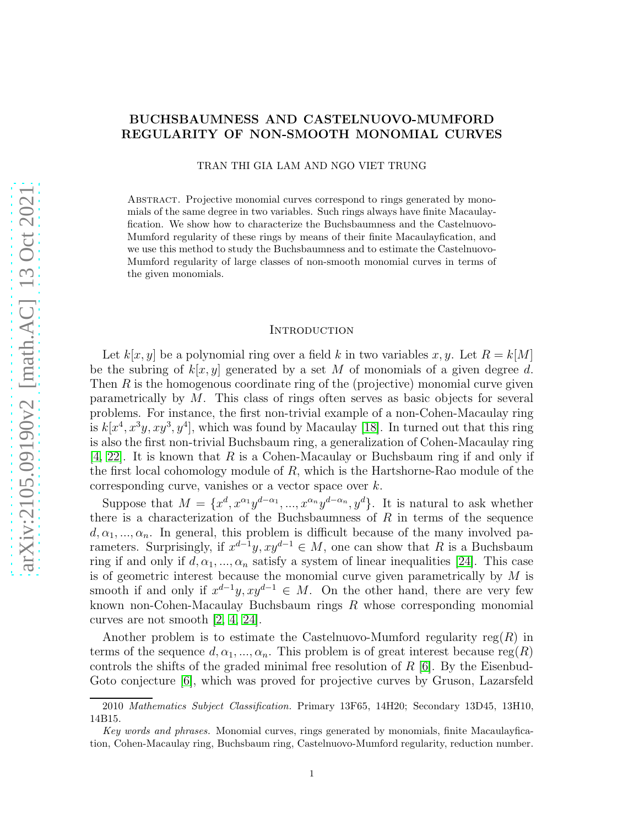# BUCHSBAUMNESS AND CASTELNUOVO-MUMFORD REGULARITY OF NON-SMOOTH MONOMIAL CURVES

TRAN THI GIA LAM AND NGO VIET TRUNG

Abstract. Projective monomial curves correspond to rings generated by monomials of the same degree in two variables. Such rings always have finite Macaulayfication. We show how to characterize the Buchsbaumness and the Castelnuovo-Mumford regularity of these rings by means of their finite Macaulayfication, and we use this method to study the Buchsbaumness and to estimate the Castelnuovo-Mumford regularity of large classes of non-smooth monomial curves in terms of the given monomials.

#### **INTRODUCTION**

Let  $k[x, y]$  be a polynomial ring over a field k in two variables x, y. Let  $R = k[M]$ be the subring of  $k[x, y]$  generated by a set M of monomials of a given degree d. Then  $R$  is the homogenous coordinate ring of the (projective) monomial curve given parametrically by M. This class of rings often serves as basic objects for several problems. For instance, the first non-trivial example of a non-Cohen-Macaulay ring is  $k[x^4, x^3y, xy^3, y^4]$ , which was found by Macaulay [\[18\]](#page-21-0). In turned out that this ring is also the first non-trivial Buchsbaum ring, a generalization of Cohen-Macaulay ring  $[4, 22]$  $[4, 22]$ . It is known that R is a Cohen-Macaulay or Buchsbaum ring if and only if the first local cohomology module of  $R$ , which is the Hartshorne-Rao module of the corresponding curve, vanishes or a vector space over k.

Suppose that  $M = \{x^d, x^{\alpha_1}y^{d-\alpha_1}, ..., x^{\alpha_n}y^{d-\alpha_n}, y^d\}$ . It is natural to ask whether there is a characterization of the Buchsbaumness of  $R$  in terms of the sequence  $d, \alpha_1, ..., \alpha_n$ . In general, this problem is difficult because of the many involved parameters. Surprisingly, if  $x^{d-1}y$ ,  $xy^{d-1} \in M$ , one can show that R is a Buchsbaum ring if and only if  $d, \alpha_1, ..., \alpha_n$  satisfy a system of linear inequalities [\[24\]](#page-21-3). This case is of geometric interest because the monomial curve given parametrically by  $M$  is smooth if and only if  $x^{d-1}y$ ,  $xy^{d-1} \in M$ . On the other hand, there are very few known non-Cohen-Macaulay Buchsbaum rings R whose corresponding monomial curves are not smooth [\[2,](#page-20-0) [4,](#page-21-1) [24\]](#page-21-3).

Another problem is to estimate the Castelnuovo-Mumford regularity  $reg(R)$  in terms of the sequence  $d, \alpha_1, ..., \alpha_n$ . This problem is of great interest because reg(R) controls the shifts of the graded minimal free resolution of  $R$  [\[6\]](#page-21-4). By the Eisenbud-Goto conjecture  $[6]$ , which was proved for projective curves by Gruson, Lazarsfeld

<sup>2010</sup> Mathematics Subject Classification. Primary 13F65, 14H20; Secondary 13D45, 13H10, 14B15.

Key words and phrases. Monomial curves, rings generated by monomials, finite Macaulayfication, Cohen-Macaulay ring, Buchsbaum ring, Castelnuovo-Mumford regularity, reduction number.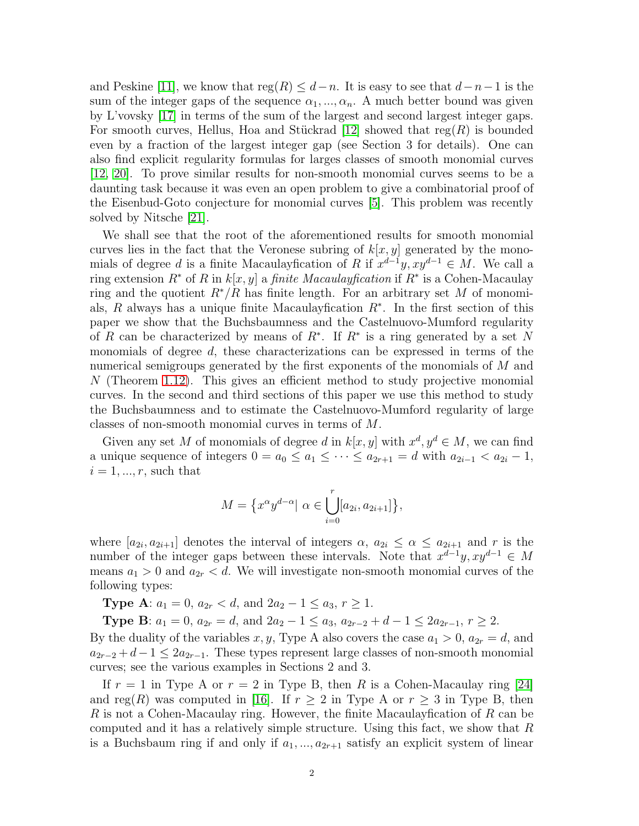and Peskine [\[11\]](#page-21-5), we know that  $reg(R) \leq d-n$ . It is easy to see that  $d-n-1$  is the sum of the integer gaps of the sequence  $\alpha_1, ..., \alpha_n$ . A much better bound was given by L'vovsky [\[17\]](#page-21-6) in terms of the sum of the largest and second largest integer gaps. For smooth curves, Hellus, Hoa and Stückrad [\[12\]](#page-21-7) showed that reg(R) is bounded even by a fraction of the largest integer gap (see Section 3 for details). One can also find explicit regularity formulas for larges classes of smooth monomial curves [\[12,](#page-21-7) [20\]](#page-21-8). To prove similar results for non-smooth monomial curves seems to be a daunting task because it was even an open problem to give a combinatorial proof of the Eisenbud-Goto conjecture for monomial curves [\[5\]](#page-21-9). This problem was recently solved by Nitsche [\[21\]](#page-21-10).

We shall see that the root of the aforementioned results for smooth monomial curves lies in the fact that the Veronese subring of  $k[x, y]$  generated by the monomials of degree d is a finite Macaulay fication of R if  $x^{d-1}y$ ,  $xy^{d-1} \in M$ . We call a ring extension  $R^*$  of R in  $k[x, y]$  a *finite Macaulay fication* if  $R^*$  is a Cohen-Macaulay ring and the quotient  $R^*/R$  has finite length. For an arbitrary set M of monomials, R always has a unique finite Macaulay fication  $R^*$ . In the first section of this paper we show that the Buchsbaumness and the Castelnuovo-Mumford regularity of R can be characterized by means of  $R^*$ . If  $R^*$  is a ring generated by a set N monomials of degree d, these characterizations can be expressed in terms of the numerical semigroups generated by the first exponents of the monomials of M and  $N$  (Theorem [1.12\)](#page-6-0). This gives an efficient method to study projective monomial curves. In the second and third sections of this paper we use this method to study the Buchsbaumness and to estimate the Castelnuovo-Mumford regularity of large classes of non-smooth monomial curves in terms of M.

Given any set M of monomials of degree d in  $k[x, y]$  with  $x^d, y^d \in M$ , we can find a unique sequence of integers  $0 = a_0 \le a_1 \le \cdots \le a_{2r+1} = d$  with  $a_{2i-1} < a_{2i} - 1$ ,  $i = 1, \ldots, r$ , such that

$$
M = \left\{ x^{\alpha} y^{d-\alpha} | \alpha \in \bigcup_{i=0}^{r} [a_{2i}, a_{2i+1}] \right\},\
$$

where  $[a_{2i}, a_{2i+1}]$  denotes the interval of integers  $\alpha, a_{2i} \leq \alpha \leq a_{2i+1}$  and r is the number of the integer gaps between these intervals. Note that  $x^{d-1}y$ ,  $xy^{d-1} \in M$ means  $a_1 > 0$  and  $a_{2r} < d$ . We will investigate non-smooth monomial curves of the following types:

**Type A:**  $a_1 = 0$ ,  $a_{2r} < d$ , and  $2a_2 - 1 \le a_3$ ,  $r \ge 1$ .

**Type B:**  $a_1 = 0$ ,  $a_{2r} = d$ , and  $2a_2 - 1 \le a_3$ ,  $a_{2r-2} + d - 1 \le 2a_{2r-1}$ ,  $r \ge 2$ .

By the duality of the variables x, y, Type A also covers the case  $a_1 > 0$ ,  $a_{2r} = d$ , and  $a_{2r-2} + d-1 \leq 2a_{2r-1}$ . These types represent large classes of non-smooth monomial curves; see the various examples in Sections 2 and 3.

If  $r = 1$  in Type A or  $r = 2$  in Type B, then R is a Cohen-Macaulay ring [\[24\]](#page-21-3) and reg(R) was computed in [\[16\]](#page-21-11). If  $r \geq 2$  in Type A or  $r \geq 3$  in Type B, then R is not a Cohen-Macaulay ring. However, the finite Macaulayfication of R can be computed and it has a relatively simple structure. Using this fact, we show that  $R$ is a Buchsbaum ring if and only if  $a_1, ..., a_{2r+1}$  satisfy an explicit system of linear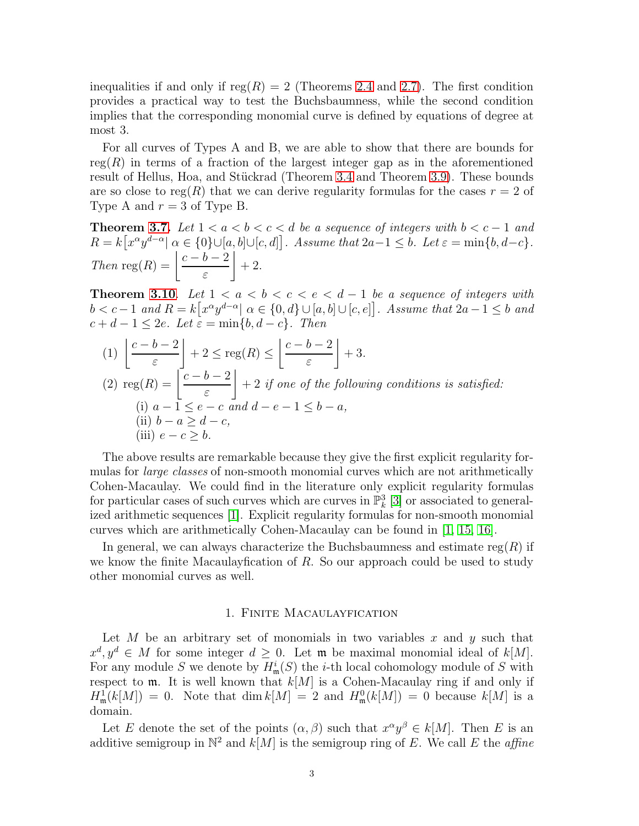inequalities if and only if  $reg(R) = 2$  (Theorems [2.4](#page-8-0) and [2.7\)](#page-10-0). The first condition provides a practical way to test the Buchsbaumness, while the second condition implies that the corresponding monomial curve is defined by equations of degree at most 3.

For all curves of Types A and B, we are able to show that there are bounds for reg $(R)$  in terms of a fraction of the largest integer gap as in the aforementioned result of Hellus, Hoa, and Stückrad (Theorem [3.4](#page-13-0) and Theorem [3.9\)](#page-16-0). These bounds are so close to reg(R) that we can derive regularity formulas for the cases  $r = 2$  of Type A and  $r = 3$  of Type B.

**Theorem [3.7.](#page-15-0)** Let  $1 < a < b < c < d$  be a sequence of integers with  $b < c - 1$  and  $R = k[x^{\alpha}y^{d-\alpha}] \alpha \in \{0\} \cup [a, b] \cup [c, d]$ . Assume that  $2a-1 \leq b$ . Let  $\varepsilon = \min\{b, d-c\}$ . Then reg(R) =  $\frac{c-b-2}{a}$ ε  $\overline{1}$  $+2$ .

Theorem [3.10](#page-18-0). Let  $1 < a < b < c < e < d-1$  be a sequence of integers with  $b < c-1$  and  $R = k[x^{\alpha}y^{d-\alpha}] \alpha \in \{0, d\} \cup [a, b] \cup [c, e]$ . Assume that  $2a-1 \leq b$  and  $c + d - 1 \leq 2e$ . Let  $\varepsilon = \min\{b, d - c\}$ . Then

(1) 
$$
\left\lfloor \frac{c-b-2}{\varepsilon} \right\rfloor + 2 \le \text{reg}(R) \le \left\lfloor \frac{c-b-2}{\varepsilon} \right\rfloor + 3.
$$
  
(2) 
$$
\text{reg}(R) = \left\lfloor \frac{c-b-2}{\varepsilon} \right\rfloor + 2 \text{ if one of the following conditions is satisfied:}
$$
  
(i)  $a-1 \le e-c$  and  $d-e-1 \le b-a$ ,  
(ii)  $b-a \ge d-c$ ,  
(iii)  $e-c \ge b$ .

The above results are remarkable because they give the first explicit regularity formulas for *large classes* of non-smooth monomial curves which are not arithmetically Cohen-Macaulay. We could find in the literature only explicit regularity formulas for particular cases of such curves which are curves in  $\mathbb{P}^3_k$  [\[3\]](#page-20-1) or associated to generalized arithmetic sequences [\[1\]](#page-20-2). Explicit regularity formulas for non-smooth monomial curves which are arithmetically Cohen-Macaulay can be found in [\[1,](#page-20-2) [15,](#page-21-12) [16\]](#page-21-11).

In general, we can always characterize the Buchsbaumness and estimate  $reg(R)$  if we know the finite Macaulay fication of  $R$ . So our approach could be used to study other monomial curves as well.

## 1. Finite Macaulayfication

Let M be an arbitrary set of monomials in two variables x and  $y$  such that  $x^d, y^d \in M$  for some integer  $d \geq 0$ . Let **m** be maximal monomial ideal of k[M]. For any module S we denote by  $H^i_{\mathfrak{m}}(S)$  the *i*-th local cohomology module of S with respect to  $m$ . It is well known that  $k[M]$  is a Cohen-Macaulay ring if and only if  $H^1_{\mathfrak{m}}(k[M]) = 0$ . Note that  $\dim k[M] = 2$  and  $H^0_{\mathfrak{m}}(k[M]) = 0$  because  $k[M]$  is a domain.

Let E denote the set of the points  $(\alpha, \beta)$  such that  $x^{\alpha}y^{\beta} \in k[M]$ . Then E is an additive semigroup in  $\mathbb{N}^2$  and  $k[M]$  is the semigroup ring of E. We call E the *affine*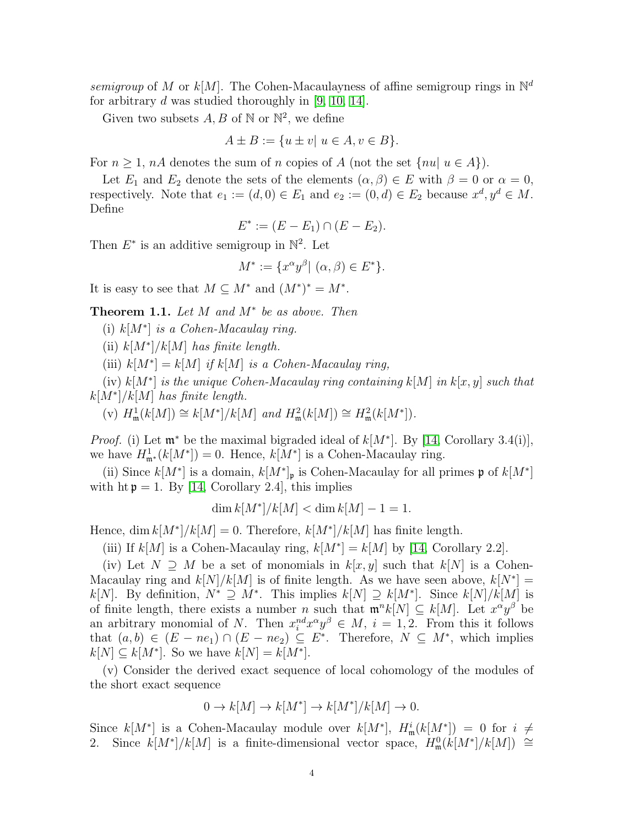semigroup of M or  $k[M]$ . The Cohen-Macaulayness of affine semigroup rings in  $\mathbb{N}^d$ for arbitrary d was studied thoroughly in [\[9,](#page-21-13) [10,](#page-21-14) [14\]](#page-21-15).

Given two subsets  $A, B$  of  $\mathbb N$  or  $\mathbb N^2$ , we define

$$
A \pm B := \{ u \pm v \mid u \in A, v \in B \}.
$$

For  $n \geq 1$ ,  $nA$  denotes the sum of n copies of A (not the set  $\{nu | u \in A\}$ ).

Let  $E_1$  and  $E_2$  denote the sets of the elements  $(\alpha, \beta) \in E$  with  $\beta = 0$  or  $\alpha = 0$ , respectively. Note that  $e_1 := (d, 0) \in E_1$  and  $e_2 := (0, d) \in E_2$  because  $x^d, y^d \in M$ . Define

$$
E^* := (E - E_1) \cap (E - E_2).
$$

Then  $E^*$  is an additive semigroup in  $\mathbb{N}^2$ . Let

$$
M^* := \{ x^{\alpha} y^{\beta} | (\alpha, \beta) \in E^* \}.
$$

It is easy to see that  $M \subseteq M^*$  and  $(M^*)^* = M^*$ .

<span id="page-3-0"></span>Theorem 1.1. Let  $M$  and  $M^*$  be as above. Then

(i)  $k[M^*]$  is a Cohen-Macaulay ring.

(ii)  $k[M^*]/k[M]$  has finite length.

(iii)  $k[M^*] = k[M]$  if  $k[M]$  is a Cohen-Macaulay ring,

(iv)  $k[M^*]$  is the unique Cohen-Macaulay ring containing  $k[M]$  in  $k[x, y]$  such that  $k[M^*]/k[M]$  has finite length.

(v) 
$$
H_{\mathfrak{m}}^1(k[M]) \cong k[M^*]/k[M]
$$
 and  $H_{\mathfrak{m}}^2(k[M]) \cong H_{\mathfrak{m}}^2(k[M^*]).$ 

*Proof.* (i) Let  $\mathfrak{m}^*$  be the maximal bigraded ideal of  $k[M^*]$ . By [\[14,](#page-21-15) Corollary 3.4(i)], we have  $H^1_{\mathfrak{m}^*}(k[M^*]) = 0$ . Hence,  $k[M^*]$  is a Cohen-Macaulay ring.

(ii) Since  $k[M^*]$  is a domain,  $k[M^*]_{\mathfrak{p}}$  is Cohen-Macaulay for all primes  $\mathfrak{p}$  of  $k[M^*]$ with ht  $p = 1$ . By [\[14,](#page-21-15) Corollary 2.4], this implies

$$
\dim k[M^*]/k[M] < \dim k[M] - 1 = 1.
$$

Hence, dim  $k[M^*]/k[M] = 0$ . Therefore,  $k[M^*]/k[M]$  has finite length.

(iii) If  $k[M]$  is a Cohen-Macaulay ring,  $k[M^*]=k[M]$  by [\[14,](#page-21-15) Corollary 2.2].

(iv) Let  $N \supseteq M$  be a set of monomials in  $k[x, y]$  such that  $k[N]$  is a Cohen-Macaulay ring and  $k[N]/k[M]$  is of finite length. As we have seen above,  $k[N^*]=$  $k[N]$ . By definition,  $N^* \supseteq M^*$ . This implies  $k[N] \supseteq k[M^*]$ . Since  $k[N]/k[M]$  is of finite length, there exists a number n such that  $\mathfrak{m}^n k[N] \subseteq k[M]$ . Let  $x^{\alpha}y^{\beta}$  be an arbitrary monomial of N. Then  $x_i^{nd} x^{\alpha} y^{\beta} \in M$ ,  $i = 1, 2$ . From this it follows that  $(a, b) \in (E - ne_1) \cap (E - ne_2) \subseteq E^*$ . Therefore,  $N \subseteq M^*$ , which implies  $k[N] \subseteq k[M^*]$ . So we have  $k[N] = k[M^*]$ .

(v) Consider the derived exact sequence of local cohomology of the modules of the short exact sequence

$$
0 \to k[M] \to k[M^*] \to k[M^*]/k[M] \to 0.
$$

Since  $k[M^*]$  is a Cohen-Macaulay module over  $k[M^*]$ ,  $H^i_{\mathfrak{m}}(k[M^*]) = 0$  for  $i \neq$ 2. Since  $k[M^*]/k[M]$  is a finite-dimensional vector space,  $H_m^0(k[M^*]/k[M]) \cong$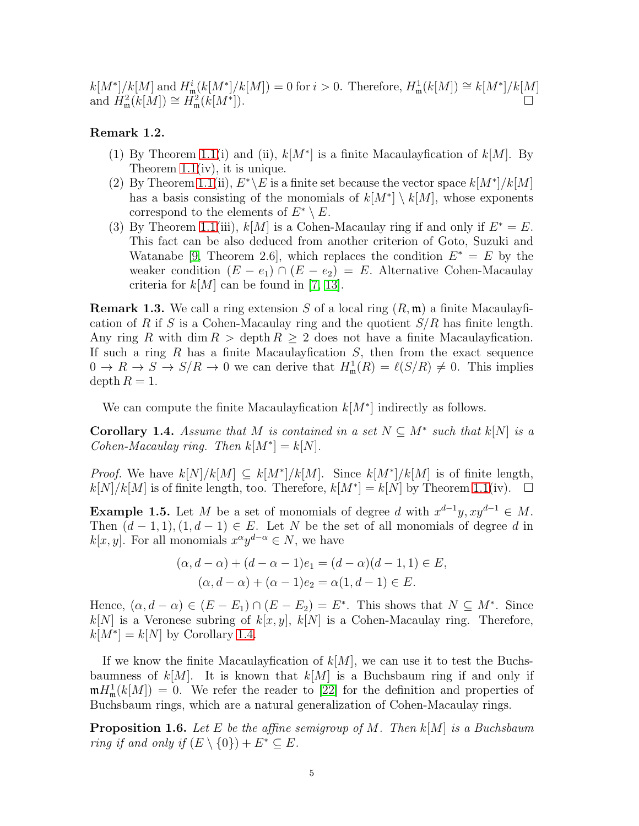$k[M^*]/k[M]$  and  $H^i_{\mathfrak{m}}(k[M^*]/k[M]) = 0$  for  $i > 0$ . Therefore,  $H^1_{\mathfrak{m}}(k[M]) \cong k[M^*]/k[M]$ and  $H_{\mathfrak{m}}^2(k[M]) \cong H_{\mathfrak{m}}^2(k[M^*])$ .

# Remark 1.2.

- (1) By Theorem [1.1\(](#page-3-0)i) and (ii),  $k[M^*]$  is a finite Macaulay fication of  $k[M]$ . By Theorem [1.1\(](#page-3-0)iv), it is unique.
- (2) By Theorem [1.1\(](#page-3-0)ii),  $E^*\E$  is a finite set because the vector space  $k[M^*]/k[M]$ has a basis consisting of the monomials of  $k[M^*] \setminus k[M]$ , whose exponents correspond to the elements of  $E^* \setminus E$ .
- (3) By Theorem [1.1\(](#page-3-0)iii),  $k[M]$  is a Cohen-Macaulay ring if and only if  $E^* = E$ . This fact can be also deduced from another criterion of Goto, Suzuki and Watanabe [\[9,](#page-21-13) Theorem 2.6], which replaces the condition  $E^* = E$  by the weaker condition  $(E - e_1) \cap (E - e_2) = E$ . Alternative Cohen-Macaulay criteria for  $k[M]$  can be found in [\[7,](#page-21-16) [13\]](#page-21-17).

**Remark 1.3.** We call a ring extension S of a local ring  $(R, \mathfrak{m})$  a finite Macaulayfication of R if S is a Cohen-Macaulay ring and the quotient  $S/R$  has finite length. Any ring R with dim  $R >$  depth  $R \geq 2$  does not have a finite Macaulay fication. If such a ring  $R$  has a finite Macaulay fication  $S$ , then from the exact sequence  $0 \to R \to S \to S/R \to 0$  we can derive that  $H^1_{\mathfrak{m}}(R) = \ell(S/R) \neq 0$ . This implies depth  $R = 1$ .

We can compute the finite Macaulay fication  $k[M^*]$  indirectly as follows.

<span id="page-4-0"></span>**Corollary 1.4.** Assume that M is contained in a set  $N \subseteq M^*$  such that  $k[N]$  is a Cohen-Macaulay ring. Then  $k[M^*]=k[N]$ .

*Proof.* We have  $k[N]/k[M] \subseteq k[M^*]/k[M]$ . Since  $k[M^*]/k[M]$  is of finite length,  $k[N]/k[M]$  is of finite length, too. Therefore,  $k[M^*]=k[N]$  by Theorem [1.1\(](#page-3-0)iv).  $\square$ 

**Example 1.5.** Let M be a set of monomials of degree d with  $x^{d-1}y$ ,  $xy^{d-1} \in M$ . Then  $(d-1,1), (1, d-1) \in E$ . Let N be the set of all monomials of degree d in  $k[x, y]$ . For all monomials  $x^{\alpha}y^{d-\alpha} \in N$ , we have

$$
(\alpha, d - \alpha) + (d - \alpha - 1)e_1 = (d - \alpha)(d - 1, 1) \in E,
$$
  

$$
(\alpha, d - \alpha) + (\alpha - 1)e_2 = \alpha(1, d - 1) \in E.
$$

Hence,  $(\alpha, d - \alpha) \in (E - E_1) \cap (E - E_2) = E^*$ . This shows that  $N \subseteq M^*$ . Since  $k[N]$  is a Veronese subring of  $k[x, y]$ ,  $k[N]$  is a Cohen-Macaulay ring. Therefore,  $k[M^*] = k[N]$  by Corollary [1.4.](#page-4-0)

If we know the finite Macaulay fication of  $k[M]$ , we can use it to test the Buchsbaumness of  $k[M]$ . It is known that  $k[M]$  is a Buchsbaum ring if and only if  $mH_m^1(k[M]) = 0$ . We refer the reader to [\[22\]](#page-21-2) for the definition and properties of Buchsbaum rings, which are a natural generalization of Cohen-Macaulay rings.

<span id="page-4-1"></span>**Proposition 1.6.** Let E be the affine semigroup of M. Then  $k[M]$  is a Buchsbaum ring if and only if  $(E \setminus \{0\}) + E^* \subseteq E$ .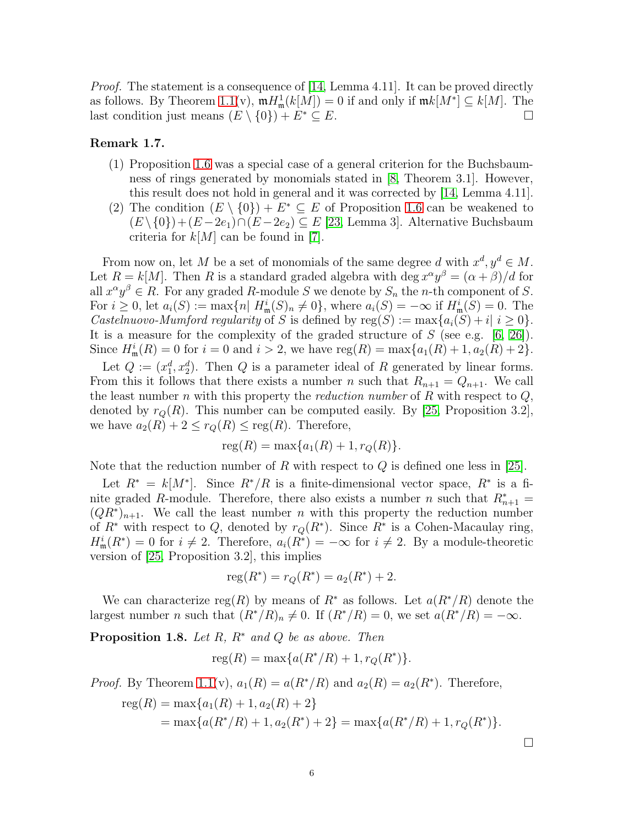*Proof.* The statement is a consequence of [\[14,](#page-21-15) Lemma 4.11]. It can be proved directly as follows. By Theorem [1.1\(](#page-3-0)v),  $mH_m^1(k[M]) = 0$  if and only if  $mk[M^*] \subseteq k[M]$ . The last condition just means  $(E \setminus \{0\}) + E^* \subseteq E$ .

# Remark 1.7.

- (1) Proposition [1.6](#page-4-1) was a special case of a general criterion for the Buchsbaumness of rings generated by monomials stated in [\[8,](#page-21-18) Theorem 3.1]. However, this result does not hold in general and it was corrected by [\[14,](#page-21-15) Lemma 4.11].
- (2) The condition  $(E \setminus \{0\}) + E^* \subseteq E$  of Proposition [1.6](#page-4-1) can be weakened to  $(E \setminus \{0\}) + (E - 2e_1) \cap (E - 2e_2) \subseteq E$  [\[23,](#page-21-19) Lemma 3]. Alternative Buchsbaum criteria for  $k[M]$  can be found in [\[7\]](#page-21-16).

From now on, let M be a set of monomials of the same degree d with  $x^d, y^d \in M$ . Let  $R = k[M]$ . Then R is a standard graded algebra with deg  $x^{\alpha}y^{\beta} = (\alpha + \beta)/d$  for all  $x^{\alpha}y^{\beta} \in R$ . For any graded R-module S we denote by  $S_n$  the n-th component of S. For  $i \geq 0$ , let  $a_i(S) := \max\{n | H^i_{\mathfrak{m}}(S)_n \neq 0\}$ , where  $a_i(S) = -\infty$  if  $H^i_{\mathfrak{m}}(S) = 0$ . The Castelnuovo-Mumford regularity of S is defined by  $reg(S) := max\{a_i(S) + i | i \geq 0\}.$ It is a measure for the complexity of the graded structure of  $S$  (see e.g. [\[6,](#page-21-4) [26\]](#page-21-20)). Since  $H^i_{\mathfrak{m}}(R) = 0$  for  $i = 0$  and  $i > 2$ , we have  $reg(R) = max\{a_1(R) + 1, a_2(R) + 2\}.$ 

Let  $Q := (x_1^d, x_2^d)$ . Then Q is a parameter ideal of R generated by linear forms. From this it follows that there exists a number n such that  $R_{n+1} = Q_{n+1}$ . We call the least number n with this property the reduction number of R with respect to  $Q$ , denoted by  $r_Q(R)$ . This number can be computed easily. By [\[25,](#page-21-21) Proposition 3.2], we have  $a_2(R) + 2 \leq r_Q(R) \leq \text{reg}(R)$ . Therefore,

$$
reg(R) = max{a_1(R) + 1, r_Q(R)}.
$$

Note that the reduction number of R with respect to  $Q$  is defined one less in [\[25\]](#page-21-21).

Let  $R^* = k[M^*]$ . Since  $R^*/R$  is a finite-dimensional vector space,  $R^*$  is a finite graded R-module. Therefore, there also exists a number n such that  $R_{n+1}^* =$  $(QR^*)_{n+1}$ . We call the least number n with this property the reduction number of  $R^*$  with respect to Q, denoted by  $r_Q(R^*)$ . Since  $R^*$  is a Cohen-Macaulay ring,  $H^i_{\mathfrak{m}}(R^*)=0$  for  $i \neq 2$ . Therefore,  $a_i(R^*)=-\infty$  for  $i \neq 2$ . By a module-theoretic version of [\[25,](#page-21-21) Proposition 3.2], this implies

$$
reg(R^*) = r_Q(R^*) = a_2(R^*) + 2.
$$

We can characterize reg(R) by means of  $R^*$  as follows. Let  $a(R^*/R)$  denote the largest number n such that  $(R^*/R)_n \neq 0$ . If  $(R^*/R) = 0$ , we set  $a(R^*/R) = -\infty$ .

<span id="page-5-0"></span>**Proposition 1.8.** Let R,  $R^*$  and Q be as above. Then

$$
reg(R) = max{a(R^*/R) + 1, r_Q(R^*)}.
$$

*Proof.* By Theorem [1.1\(](#page-3-0)v),  $a_1(R) = a(R^*/R)$  and  $a_2(R) = a_2(R^*)$ . Therefore,

reg(R) = max{
$$
a_1(R) + 1, a_2(R) + 2
$$
}  
= max{ $a(R^*/R) + 1, a_2(R^*) + 2$ } = max{ $a(R^*/R) + 1, r_Q(R^*)$  }.

 $\Box$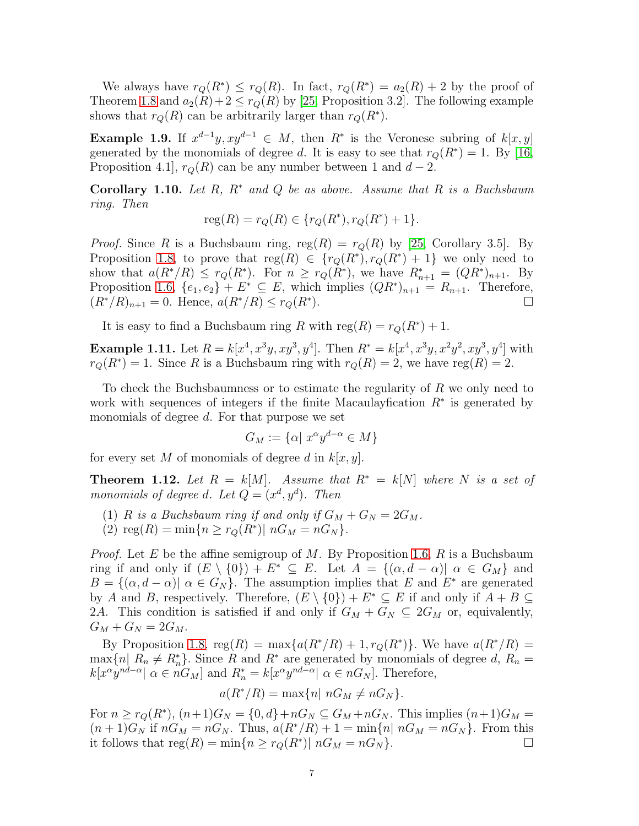We always have  $r_Q(R^*) \leq r_Q(R)$ . In fact,  $r_Q(R^*) = a_2(R) + 2$  by the proof of Theorem [1.8](#page-5-0) and  $a_2(R)+2 \le r_Q(R)$  by [\[25,](#page-21-21) Proposition 3.2]. The following example shows that  $r_Q(R)$  can be arbitrarily larger than  $r_Q(R^*)$ .

**Example 1.9.** If  $x^{d-1}y$ ,  $xy^{d-1} \in M$ , then  $R^*$  is the Veronese subring of  $k[x, y]$ generated by the monomials of degree d. It is easy to see that  $r_Q(R^*) = 1$ . By [\[16,](#page-21-11) Proposition 4.1,  $r_Q(R)$  can be any number between 1 and  $d-2$ .

**Corollary 1.10.** Let R,  $R^*$  and Q be as above. Assume that R is a Buchsbaum ring. Then

$$
reg(R) = r_Q(R) \in \{r_Q(R^*), r_Q(R^*) + 1\}.
$$

*Proof.* Since R is a Buchsbaum ring,  $reg(R) = r_Q(R)$  by [\[25,](#page-21-21) Corollary 3.5]. By Proposition [1.8,](#page-5-0) to prove that  $reg(R) \in \{r_Q(R^*), r_Q(R^*)+1\}$  we only need to show that  $a(R^*/R) \le r_Q(R^*)$ . For  $n \ge r_Q(R^*)$ , we have  $R_{n+1}^* = (QR^*)_{n+1}$ . By Proposition [1.6,](#page-4-1)  $\{e_1, e_2\} + E^* \subseteq E$ , which implies  $(QR^*)_{n+1} = R_{n+1}$ . Therefore,  $(R^*/R)_{n+1} = 0$ . Hence,  $a(R^*/R) \le r_Q(R^*)$ ). For a set of the set of  $\Box$ 

It is easy to find a Buchsbaum ring R with  $reg(R) = r_Q(R^*) + 1$ .

**Example 1.11.** Let  $R = k[x^4, x^3y, xy^3, y^4]$ . Then  $R^* = k[x^4, x^3y, x^2y^2, xy^3, y^4]$  with  $r_Q(R^*) = 1$ . Since R is a Buchsbaum ring with  $r_Q(R) = 2$ , we have reg(R) = 2.

To check the Buchsbaumness or to estimate the regularity of R we only need to work with sequences of integers if the finite Macaulay fication  $R^*$  is generated by monomials of degree d. For that purpose we set

$$
G_M := \{ \alpha \mid x^{\alpha} y^{d-\alpha} \in M \}
$$

for every set M of monomials of degree d in  $k[x, y]$ .

<span id="page-6-0"></span>**Theorem 1.12.** Let  $R = k[M]$ . Assume that  $R^* = k[N]$  where N is a set of monomials of degree d. Let  $Q = (x^d, y^d)$ . Then

- (1) R is a Buchsbaum ring if and only if  $G_M + G_N = 2G_M$ .
- (2)  $reg(R) = min\{n \ge r_Q(R^*) | nG_M = nG_N\}.$

*Proof.* Let E be the affine semigroup of M. By Proposition [1.6,](#page-4-1) R is a Buchsbaum ring if and only if  $(E \setminus \{0\}) + E^* \subseteq E$ . Let  $A = \{(\alpha, d - \alpha) | \alpha \in G_M\}$  and  $B = \{(\alpha, d - \alpha) | \alpha \in G_N\}.$  The assumption implies that E and E<sup>\*</sup> are generated by A and B, respectively. Therefore,  $(E \setminus \{0\}) + E^* \subseteq E$  if and only if  $A + B \subseteq$ 2A. This condition is satisfied if and only if  $G_M + G_N \subseteq 2G_M$  or, equivalently,  $G_M + G_N = 2G_M.$ 

By Proposition [1.8,](#page-5-0)  $reg(R) = max{a(R^*/R) + 1, r_Q(R^*)}$ . We have  $a(R^*/R) =$  $\max\{n \mid R_n \neq R_n^*\}\.$  Since R and  $R^*$  are generated by monomials of degree d,  $R_n =$  $k[x^{\alpha}y^{nd-\alpha}] \alpha \in nG_M$  and  $R_n^* = k[x^{\alpha}y^{nd-\alpha}] \alpha \in nG_N$ . Therefore,

$$
a(R^*/R) = \max\{n \mid nG_M \neq nG_N\}.
$$

For  $n \ge r_Q(R^*)$ ,  $(n+1)G_N = \{0, d\} + nG_N \subseteq G_M + nG_N$ . This implies  $(n+1)G_M =$  $(n+1)G_N$  if  $nG_M = nG_N$ . Thus,  $a(R^*/R) + 1 = \min\{n | nG_M = nG_N\}$ . From this it follows that  $reg(R) = min\{n \ge r_Q(R^*) | nG_M = nG_N\}$ .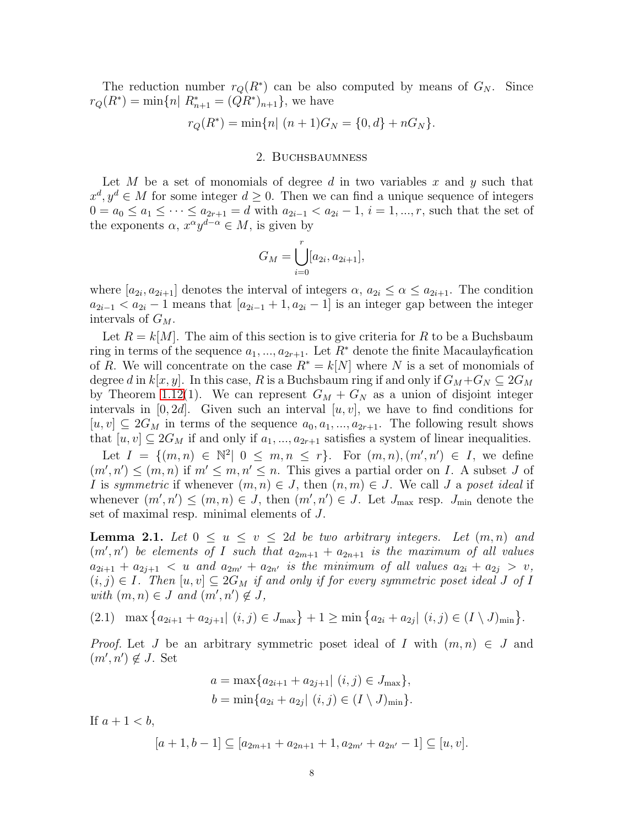The reduction number  $r_Q(R^*)$  can be also computed by means of  $G_N$ . Since  $r_Q(R^*) = \min\{n \mid R^*_{n+1} = (QR^*)_{n+1}\},\$  we have

$$
r_Q(R^*) = \min\{n | (n+1)G_N = \{0, d\} + nG_N\}.
$$

### 2. Buchsbaumness

Let M be a set of monomials of degree d in two variables x and y such that  $x^d, y^d \in M$  for some integer  $d \geq 0$ . Then we can find a unique sequence of integers  $0 = a_0 \le a_1 \le \cdots \le a_{2r+1} = d$  with  $a_{2i-1} < a_{2i} - 1$ ,  $i = 1, ..., r$ , such that the set of the exponents  $\alpha$ ,  $x^{\alpha}y^{d-\alpha} \in M$ , is given by

$$
G_M = \bigcup_{i=0}^r [a_{2i}, a_{2i+1}],
$$

where  $[a_{2i}, a_{2i+1}]$  denotes the interval of integers  $\alpha, a_{2i} \leq \alpha \leq a_{2i+1}$ . The condition  $a_{2i-1} < a_{2i} - 1$  means that  $[a_{2i-1} + 1, a_{2i} - 1]$  is an integer gap between the integer intervals of  $G_M$ .

Let  $R = k[M]$ . The aim of this section is to give criteria for R to be a Buchsbaum ring in terms of the sequence  $a_1, ..., a_{2r+1}$ . Let  $R^*$  denote the finite Macaulay fication of R. We will concentrate on the case  $R^* = k[N]$  where N is a set of monomials of degree d in  $k[x, y]$ . In this case, R is a Buchsbaum ring if and only if  $G_M + G_N \subseteq 2G_M$ by Theorem [1.12\(](#page-6-0)1). We can represent  $G_M + G_N$  as a union of disjoint integer intervals in  $[0, 2d]$ . Given such an interval  $[u, v]$ , we have to find conditions for  $[u, v] \subseteq 2G_M$  in terms of the sequence  $a_0, a_1, ..., a_{2r+1}$ . The following result shows that  $[u, v] \subseteq 2G_M$  if and only if  $a_1, ..., a_{2r+1}$  satisfies a system of linear inequalities.

Let  $I = \{(m, n) \in \mathbb{N}^2 | 0 \leq m, n \leq r\}$ . For  $(m, n), (m', n') \in I$ , we define  $(m', n') \leq (m, n)$  if  $m' \leq m, n' \leq n$ . This gives a partial order on I. A subset J of I is symmetric if whenever  $(m, n) \in J$ , then  $(n, m) \in J$ . We call J a poset ideal if whenever  $(m', n') \leq (m, n) \in J$ , then  $(m', n') \in J$ . Let  $J_{\text{max}}$  resp.  $J_{\text{min}}$  denote the set of maximal resp. minimal elements of J.

<span id="page-7-0"></span>**Lemma 2.1.** Let  $0 \leq u \leq v \leq 2d$  be two arbitrary integers. Let  $(m, n)$  and  $(m', n')$  be elements of I such that  $a_{2m+1} + a_{2n+1}$  is the maximum of all values  $a_{2i+1} + a_{2j+1} < u$  and  $a_{2m'} + a_{2n'}$  is the minimum of all values  $a_{2i} + a_{2j} > v$ ,  $(i, j) \in I$ . Then  $[u, v] \subseteq 2G_M$  if and only if for every symmetric poset ideal J of I with  $(m, n) \in J$  and  $(m', n') \notin J$ ,

 $(2.1)$  max  $\{a_{2i+1} + a_{2j+1} | (i, j) \in J_{\text{max}}\} + 1 \ge \min\{a_{2i} + a_{2j} | (i, j) \in (I \setminus J)_{\text{min}}\}.$ 

*Proof.* Let J be an arbitrary symmetric poset ideal of I with  $(m, n) \in J$  and  $(m', n') \notin J$ . Set

$$
a = \max\{a_{2i+1} + a_{2j+1} | (i, j) \in J_{\max}\},
$$
  

$$
b = \min\{a_{2i} + a_{2j} | (i, j) \in (I \setminus J)_{\min}\}.
$$

If  $a+1 < b$ ,

$$
[a+1,b-1] \subseteq [a_{2m+1}+a_{2n+1}+1,a_{2m'}+a_{2n'}-1] \subseteq [u,v].
$$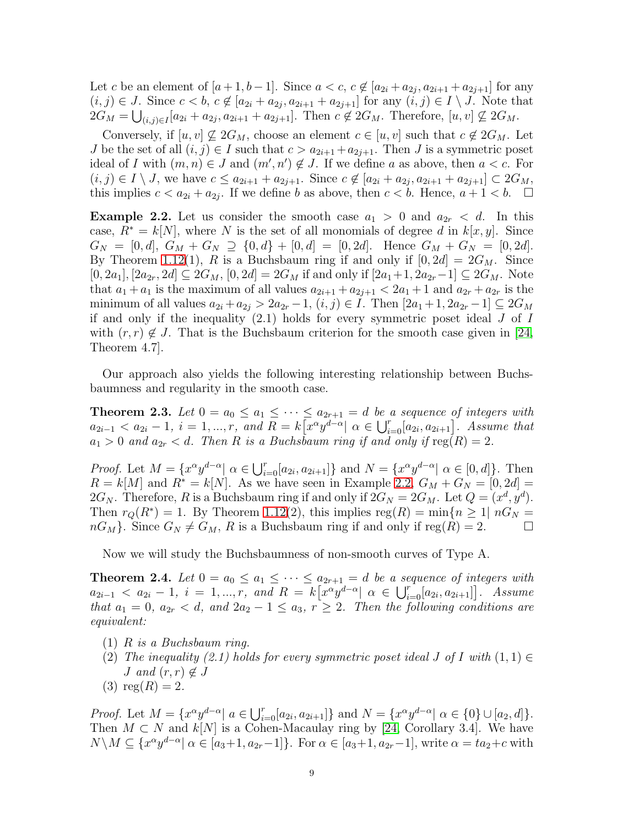Let c be an element of  $[a+1,b-1]$ . Since  $a < c, c \notin [a_{2i} + a_{2j}, a_{2i+1} + a_{2j+1}]$  for any  $(i, j) \in J$ . Since  $c < b$ ,  $c \notin [a_{2i} + a_{2j}, a_{2i+1} + a_{2j+1}]$  for any  $(i, j) \in I \setminus J$ . Note that  $2G_M = \bigcup_{(i,j)\in I} [a_{2i} + a_{2j}, a_{2i+1} + a_{2j+1}]$ . Then  $c \notin 2G_M$ . Therefore,  $[u, v] \nsubseteq 2G_M$ .

Conversely, if  $[u, v] \nsubseteq 2G_M$ , choose an element  $c \in [u, v]$  such that  $c \notin 2G_M$ . Let J be the set of all  $(i, j) \in I$  such that  $c > a_{2i+1} + a_{2i+1}$ . Then J is a symmetric poset ideal of I with  $(m, n) \in J$  and  $(m', n') \notin J$ . If we define a as above, then  $a < c$ . For  $(i, j) \in I \setminus J$ , we have  $c \le a_{2i+1} + a_{2j+1}$ . Since  $c \notin [a_{2i} + a_{2j}, a_{2i+1} + a_{2j+1}] \subset 2G_M$ , this implies  $c < a_{2i} + a_{2j}$ . If we define b as above, then  $c < b$ . Hence,  $a + 1 < b$ .  $\Box$ 

<span id="page-8-1"></span>**Example 2.2.** Let us consider the smooth case  $a_1 > 0$  and  $a_{2r} < d$ . In this case,  $R^* = k[N]$ , where N is the set of all monomials of degree d in  $k[x, y]$ . Since  $G_N = [0, d], G_M + G_N \supseteq \{0, d\} + [0, d] = [0, 2d].$  Hence  $G_M + G_N = [0, 2d].$ By Theorem [1.12\(](#page-6-0)1), R is a Buchsbaum ring if and only if  $[0, 2d] = 2G_M$ . Since  $[0, 2a_1], [2a_{2r}, 2d] \subseteq 2G_M$ ,  $[0, 2d] = 2G_M$  if and only if  $[2a_1+1, 2a_{2r}-1] \subseteq 2G_M$ . Note that  $a_1 + a_1$  is the maximum of all values  $a_{2i+1} + a_{2i+1} < 2a_1 + 1$  and  $a_{2r} + a_{2r}$  is the minimum of all values  $a_{2i} + a_{2j} > 2a_{2r} - 1$ ,  $(i, j) \in I$ . Then  $[2a_1 + 1, 2a_{2r} - 1] \subseteq 2G_M$ if and only if the inequality  $(2.1)$  holds for every symmetric poset ideal  $J$  of  $I$ with  $(r, r) \notin J$ . That is the Buchsbaum criterion for the smooth case given in [\[24,](#page-21-3) Theorem 4.7].

Our approach also yields the following interesting relationship between Buchsbaumness and regularity in the smooth case.

<span id="page-8-2"></span>**Theorem 2.3.** Let  $0 = a_0 \le a_1 \le \cdots \le a_{2r+1} = d$  be a sequence of integers with  $a_{2i-1} < a_{2i} - 1, i = 1, ..., r, \text{ and } R = k[x^{\alpha}y^{d-\alpha}] \alpha \in \bigcup_{i=0}^{r}[a_{2i}, a_{2i+1}]$ . Assume that  $a_1 > 0$  and  $a_{2r} < d$ . Then R is a Buchsbaum ring if and only if  $reg(R) = 2$ .

*Proof.* Let  $M = \{x^{\alpha}y^{d-\alpha} | \alpha \in \bigcup_{i=0}^{r}[a_{2i}, a_{2i+1}]\}$  and  $N = \{x^{\alpha}y^{d-\alpha} | \alpha \in [0, d]\}.$  Then  $R = k[M]$  and  $R^* = k[N]$ . As we have seen in Example [2.2,](#page-8-1)  $G_M + G_N = [0, 2d]$ 2G<sub>N</sub>. Therefore, R is a Buchsbaum ring if and only if  $2G_N = 2G_M$ . Let  $Q = (x^d, y^d)$ . Then  $r_Q(R^*) = 1$ . By Theorem [1.12\(](#page-6-0)2), this implies  $reg(R) = min\{n \geq 1 | nG_N =$  $nG_M$ . Since  $G_N \neq G_M$ , R is a Buchsbaum ring if and only if reg $(R) = 2$ .

Now we will study the Buchsbaumness of non-smooth curves of Type A.

<span id="page-8-0"></span>**Theorem 2.4.** Let  $0 = a_0 \le a_1 \le \cdots \le a_{2r+1} = d$  be a sequence of integers with  $a_{2i-1} < a_{2i} - 1, i = 1, ..., r, and R = k[x^{\alpha}y^{d-\alpha}] \alpha \in \bigcup_{i=0}^{r} [a_{2i}, a_{2i+1}]$ . Assume that  $a_1 = 0$ ,  $a_{2r} < d$ , and  $2a_2 - 1 \le a_3$ ,  $r \ge 2$ . Then the following conditions are equivalent:

- (1) R is a Buchsbaum ring.
- (2) The inequality (2.1) holds for every symmetric poset ideal J of I with  $(1, 1) \in$ *J* and  $(r, r) \notin J$
- (3)  $reg(R) = 2$ .

*Proof.* Let  $M = \{x^{\alpha}y^{d-\alpha} | a \in \bigcup_{i=0}^{r}[a_{2i}, a_{2i+1}]\}$  and  $N = \{x^{\alpha}y^{d-\alpha} | \alpha \in \{0\} \cup [a_2, d]\}.$ Then  $M \subset N$  and  $k[N]$  is a Cohen-Macaulay ring by [\[24,](#page-21-3) Corollary 3.4]. We have  $N\backslash M\subseteq \{x^{\alpha}y^{d-\alpha}|\ \alpha\in [a_3+1,a_{2r}-1]\}.$  For  $\alpha\in [a_3+1,a_{2r}-1]$ , write  $\alpha = ta_2+c$  with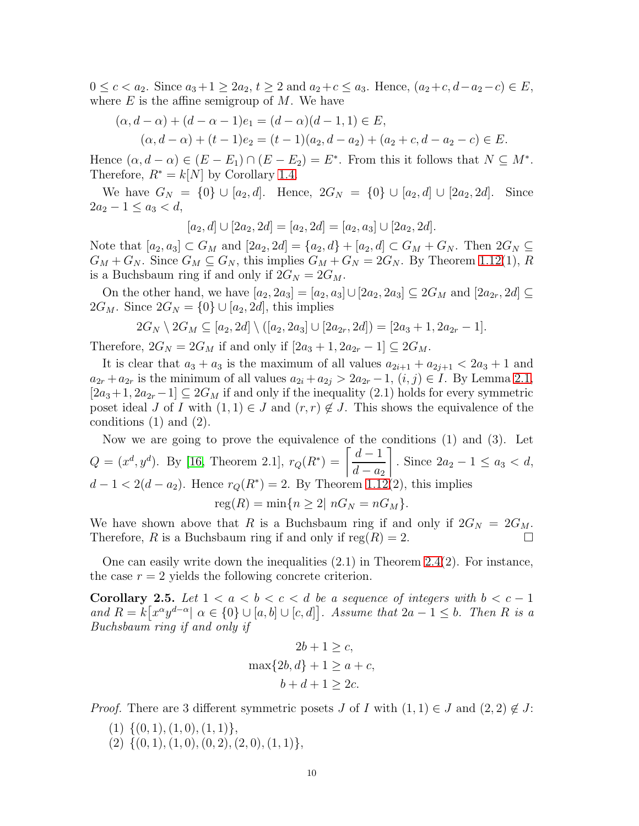$0 \leq c < a_2$ . Since  $a_3 + 1 \geq 2a_2$ ,  $t \geq 2$  and  $a_2 + c \leq a_3$ . Hence,  $(a_2 + c, d - a_2 - c) \in E$ , where  $E$  is the affine semigroup of  $M$ . We have

$$
(\alpha, d - \alpha) + (d - \alpha - 1)e_1 = (d - \alpha)(d - 1, 1) \in E,
$$
  
\n
$$
(\alpha, d - \alpha) + (t - 1)e_2 = (t - 1)(a_2, d - a_2) + (a_2 + c, d - a_2 - c) \in E.
$$

Hence  $(\alpha, d - \alpha) \in (E - E_1) \cap (E - E_2) = E^*$ . From this it follows that  $N \subseteq M^*$ . Therefore,  $R^* = k[N]$  by Corollary [1.4.](#page-4-0)

We have  $G_N = \{0\} \cup [a_2, d]$ . Hence,  $2G_N = \{0\} \cup [a_2, d] \cup [2a_2, 2d]$ . Since  $2a_2 - 1 \leq a_3 < d$ ,

$$
[a_2, d] \cup [2a_2, 2d] = [a_2, 2d] = [a_2, a_3] \cup [2a_2, 2d].
$$

Note that  $[a_2, a_3] \subset G_M$  and  $[2a_2, 2d] = \{a_2, d\} + [a_2, d] \subset G_M + G_N$ . Then  $2G_N \subseteq$  $G_M + G_N$ . Since  $G_M \subseteq G_N$ , this implies  $G_M + G_N = 2G_N$ . By Theorem [1.12\(](#page-6-0)1), R is a Buchsbaum ring if and only if  $2G_N = 2G_M$ .

On the other hand, we have  $[a_2, 2a_3] = [a_2, a_3] \cup [2a_2, 2a_3] \subseteq 2G_M$  and  $[2a_{2r}, 2d] \subseteq$  $2G_M$ . Since  $2G_N = \{0\} \cup [a_2, 2d]$ , this implies

$$
2G_N \setminus 2G_M \subseteq [a_2, 2d] \setminus ([a_2, 2a_3] \cup [2a_{2r}, 2d]) = [2a_3 + 1, 2a_{2r} - 1].
$$

Therefore,  $2G_N = 2G_M$  if and only if  $[2a_3 + 1, 2a_{2r} - 1] \subseteq 2G_M$ .

It is clear that  $a_3 + a_3$  is the maximum of all values  $a_{2i+1} + a_{2i+1} < 2a_3 + 1$  and  $a_{2r} + a_{2r}$  is the minimum of all values  $a_{2i} + a_{2j} > 2a_{2r} - 1$ ,  $(i, j) \in I$ . By Lemma [2.1,](#page-7-0)  $[2a_3+1, 2a_{2r}-1] \subseteq 2G_M$  if and only if the inequality  $(2.1)$  holds for every symmetric poset ideal J of I with  $(1,1) \in J$  and  $(r,r) \notin J$ . This shows the equivalence of the conditions (1) and (2).

Now we are going to prove the equivalence of the conditions  $(1)$  and  $(3)$ . Let  $Q = (x^d, y^d)$ . By [\[16,](#page-21-11) Theorem 2.1],  $r_Q(R^*) = \frac{d-1}{1}$  $d - a_2$ 1 . Since  $2a_2 - 1 \le a_3 < d$ ,  $d-1 < 2(d-a_2)$ . Hence  $r_Q(R^*) = 2$ . By Theorem [1.12\(](#page-6-0)2), this implies  $reg(R) = min\{n \geq 2 | nG_N = nG_M\}.$ 

We have shown above that R is a Buchsbaum ring if and only if  $2G_N = 2G_M$ . Therefore, R is a Buchsbaum ring if and only if  $reg(R) = 2$ .

One can easily write down the inequalities  $(2.1)$  in Theorem  $2.4(2)$ . For instance, the case  $r = 2$  yields the following concrete criterion.

<span id="page-9-0"></span>Corollary 2.5. Let  $1 < a < b < c < d$  be a sequence of integers with  $b < c - 1$ and  $R = k[x^{\alpha}y^{d-\alpha}] \alpha \in \{0\} \cup [a, b] \cup [c, d]$ . Assume that  $2a - 1 \leq b$ . Then R is a Buchsbaum ring if and only if

$$
2b + 1 \ge c,
$$
  

$$
\max\{2b, d\} + 1 \ge a + c,
$$
  

$$
b + d + 1 \ge 2c.
$$

*Proof.* There are 3 different symmetric posets J of I with  $(1, 1) \in J$  and  $(2, 2) \notin J$ :

- $(1) \{ (0, 1), (1, 0), (1, 1) \},\$
- $(2) \{ (0, 1), (1, 0), (0, 2), (2, 0), (1, 1) \},\$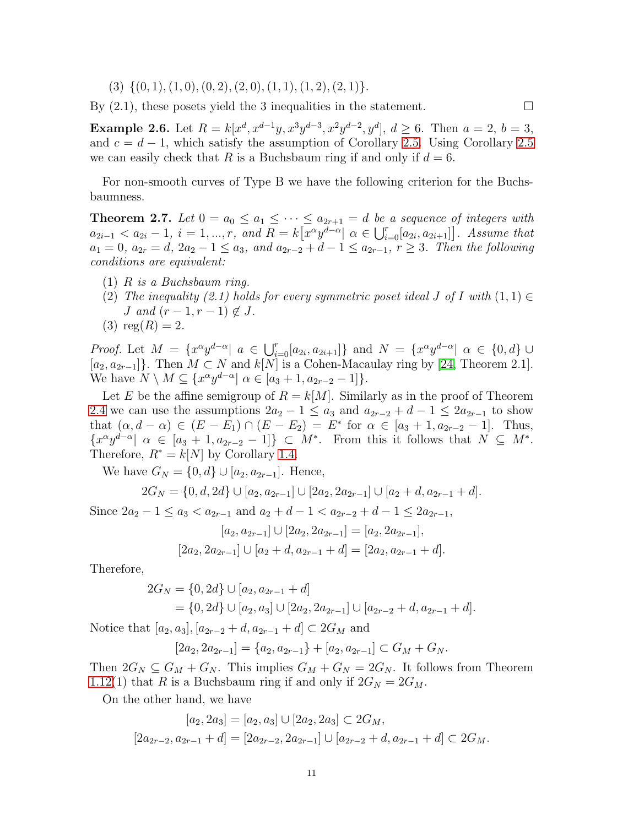$(3) \{ (0, 1), (1, 0), (0, 2), (2, 0), (1, 1), (1, 2), (2, 1) \}.$ 

By  $(2.1)$ , these posets yield the 3 inequalities in the statement.

**Example 2.6.** Let  $R = k[x^d, x^{d-1}y, x^3y^{d-3}, x^2y^{d-2}, y^d], d \ge 6$ . Then  $a = 2, b = 3$ , and  $c = d - 1$ , which satisfy the assumption of Corollary [2.5.](#page-9-0) Using Corollary [2.5](#page-9-0) we can easily check that R is a Buchsbaum ring if and only if  $d = 6$ .

For non-smooth curves of Type B we have the following criterion for the Buchsbaumness.

<span id="page-10-0"></span>**Theorem 2.7.** Let  $0 = a_0 \le a_1 \le \cdots \le a_{2r+1} = d$  be a sequence of integers with  $a_{2i-1} < a_{2i} - 1, i = 1, ..., r, \text{ and } R = k[x^{\alpha}y^{d-\alpha}] \alpha \in \bigcup_{i=0}^{r}[a_{2i}, a_{2i+1}]\big]$ . Assume that  $a_1 = 0, a_{2r} = d, 2a_2 - 1 \le a_3$ , and  $a_{2r-2} + d - 1 \le a_{2r-1}, r \ge 3$ . Then the following conditions are equivalent:

- (1) R is a Buchsbaum ring.
- (2) The inequality (2.1) holds for every symmetric poset ideal J of I with  $(1,1) \in$ J and  $(r-1, r-1) \notin J$ .
- (3)  $reg(R) = 2$ .

*Proof.* Let  $M = \{x^{\alpha}y^{d-\alpha} | a \in \bigcup_{i=0}^{r}[a_{2i}, a_{2i+1}]\}$  and  $N = \{x^{\alpha}y^{d-\alpha} | \alpha \in \{0, d\} \cup \{0, d\} \}$  $[a_2, a_{2r-1}]$ . Then  $M \subset N$  and  $k[N]$  is a Cohen-Macaulay ring by [\[24,](#page-21-3) Theorem 2.1]. We have  $N \setminus M \subseteq \{x^{\alpha} y^{d-\alpha} | \alpha \in [a_3 + 1, a_{2r-2} - 1] \}.$ 

Let E be the affine semigroup of  $R = k[M]$ . Similarly as in the proof of Theorem [2.4](#page-8-0) we can use the assumptions  $2a_2 - 1 \le a_3$  and  $a_{2r-2} + d - 1 \le 2a_{2r-1}$  to show that  $(\alpha, d - \alpha) \in (E - E_1) \cap (E - E_2) = E^*$  for  $\alpha \in [a_3 + 1, a_{2r-2} - 1]$ . Thus,  ${x^{\alpha}y^{d-\alpha}} \mid \alpha \in [a_3+1, a_{2r-2}-1]$   $\subset M^*$ . From this it follows that  $N \subseteq M^*$ . Therefore,  $R^* = k[N]$  by Corollary [1.4.](#page-4-0)

We have  $G_N = \{0, d\} \cup [a_2, a_{2r-1}]$ . Hence,

 $2G_N = \{0, d, 2d\} \cup [a_2, a_{2r-1}] \cup [2a_2, 2a_{2r-1}] \cup [a_2 + d, a_{2r-1} + d].$ 

Since  $2a_2 - 1 \le a_3 < a_{2r-1}$  and  $a_2 + d - 1 < a_{2r-2} + d - 1 \le 2a_{2r-1}$ ,

$$
[a_2, a_{2r-1}] \cup [2a_2, 2a_{2r-1}] = [a_2, 2a_{2r-1}],
$$
  

$$
[2a_2, 2a_{2r-1}] \cup [a_2 + d, a_{2r-1} + d] = [2a_2, a_{2r-1} + d].
$$

Therefore,

$$
2G_N = \{0, 2d\} \cup [a_2, a_{2r-1} + d]
$$
  
=  $\{0, 2d\} \cup [a_2, a_3] \cup [2a_2, 2a_{2r-1}] \cup [a_{2r-2} + d, a_{2r-1} + d].$ 

Notice that  $[a_2, a_3], [a_{2r-2} + d, a_{2r-1} + d] \subset 2G_M$  and

$$
[2a_2, 2a_{2r-1}] = \{a_2, a_{2r-1}\} + [a_2, a_{2r-1}] \subset G_M + G_N.
$$

Then  $2G_N \subseteq G_M + G_N$ . This implies  $G_M + G_N = 2G_N$ . It follows from Theorem [1.12\(](#page-6-0)1) that R is a Buchsbaum ring if and only if  $2G_N = 2G_M$ .

On the other hand, we have

$$
[a_2, 2a_3] = [a_2, a_3] \cup [2a_2, 2a_3] \subset 2G_M,
$$
  

$$
[2a_{2r-2}, a_{2r-1} + d] = [2a_{2r-2}, 2a_{2r-1}] \cup [a_{2r-2} + d, a_{2r-1} + d] \subset 2G_M.
$$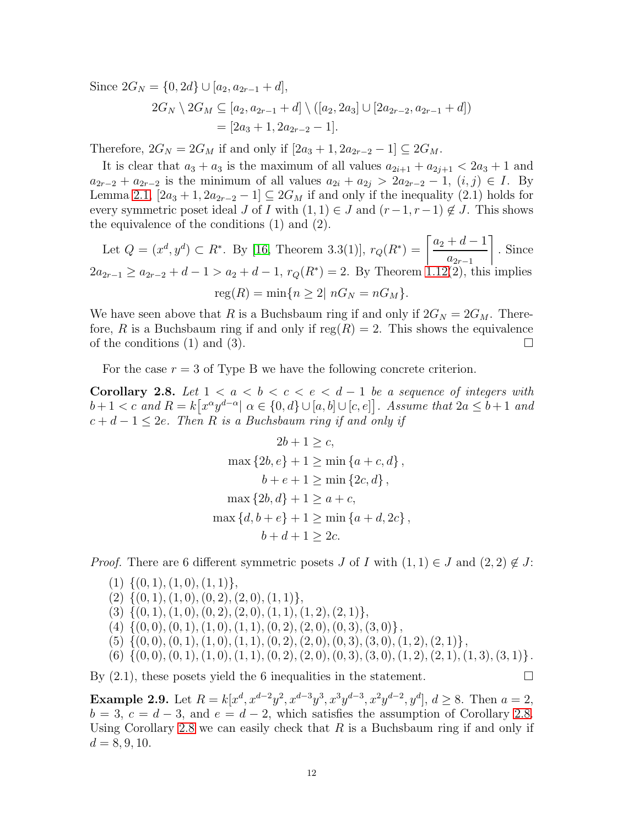Since  $2G_N = \{0, 2d\} \cup [a_2, a_{2r-1} + d],$ 

$$
2G_N \setminus 2G_M \subseteq [a_2, a_{2r-1} + d] \setminus ([a_2, 2a_3] \cup [2a_{2r-2}, a_{2r-1} + d])
$$
  
= [2a<sub>3</sub> + 1, 2a<sub>2r-2</sub> - 1].

Therefore,  $2G_N = 2G_M$  if and only if  $[2a_3 + 1, 2a_{2r-2} - 1] \subseteq 2G_M$ .

It is clear that  $a_3 + a_3$  is the maximum of all values  $a_{2i+1} + a_{2i+1} < 2a_3 + 1$  and  $a_{2r-2} + a_{2r-2}$  is the minimum of all values  $a_{2i} + a_{2j} > 2a_{2r-2} - 1$ ,  $(i, j) \in I$ . By Lemma [2.1,](#page-7-0)  $[2a_3 + 1, 2a_{2r-2} - 1] \subseteq 2G_M$  if and only if the inequality (2.1) holds for every symmetric poset ideal J of I with  $(1, 1) \in J$  and  $(r-1, r-1) \notin J$ . This shows the equivalence of the conditions (1) and (2).

Let  $Q = (x^d, y^d) \subset R^*$ . By [\[16,](#page-21-11) Theorem 3.3(1)],  $r_Q(R^*) = \frac{a_2 + d - 1}{R}$  $a_{2r-1}$ 1 . Since  $2a_{2r-1} \ge a_{2r-2} + d - 1 > a_2 + d - 1$ ,  $r_Q(R^*) = 2$ . By Theorem [1.12\(](#page-6-0)2), this implies  $reg(R) = min\{n > 2 | nG_N = nG_M\}.$ 

We have seen above that R is a Buchsbaum ring if and only if  $2G_N = 2G_M$ . Therefore, R is a Buchsbaum ring if and only if  $reg(R) = 2$ . This shows the equivalence of the conditions (1) and (3).  $\Box$ 

For the case  $r = 3$  of Type B we have the following concrete criterion.

<span id="page-11-0"></span>Corollary 2.8. Let  $1 < a < b < c < e < d-1$  be a sequence of integers with  $b+1 < c$  and  $R = k[x^{\alpha}y^{d-\alpha}] \alpha \in \{0, d\} \cup [a, b] \cup [c, e]$ . Assume that  $2a \leq b+1$  and  $c + d - 1 \leq 2e$ . Then R is a Buchsbaum ring if and only if

$$
2b + 1 \ge c,
$$
  
\n
$$
\max \{2b, e\} + 1 \ge \min \{a + c, d\},
$$
  
\n
$$
b + e + 1 \ge \min \{2c, d\},
$$
  
\n
$$
\max \{2b, d\} + 1 \ge a + c,
$$
  
\n
$$
\max \{d, b + e\} + 1 \ge \min \{a + d, 2c\},
$$
  
\n
$$
b + d + 1 \ge 2c.
$$

*Proof.* There are 6 different symmetric posets J of I with  $(1, 1) \in J$  and  $(2, 2) \notin J$ :

- $(1) \{ (0, 1), (1, 0), (1, 1) \},\$
- $(2) \{ (0, 1), (1, 0), (0, 2), (2, 0), (1, 1) \},$
- $(3) \{ (0, 1), (1, 0), (0, 2), (2, 0), (1, 1), (1, 2), (2, 1) \},$
- $(4) \{ (0, 0), (0, 1), (1, 0), (1, 1), (0, 2), (2, 0), (0, 3), (3, 0) \},$
- $(5) \{ (0, 0), (0, 1), (1, 0), (1, 1), (0, 2), (2, 0), (0, 3), (3, 0), (1, 2), (2, 1) \},$
- $(6) \{ (0, 0), (0, 1), (1, 0), (1, 1), (0, 2), (2, 0), (0, 3), (3, 0), (1, 2), (2, 1), (1, 3), (3, 1) \}.$

By  $(2.1)$ , these posets yield the 6 inequalities in the statement.

**Example 2.9.** Let  $R = k[x^d, x^{d-2}y^2, x^{d-3}y^3, x^3y^{d-3}, x^2y^{d-2}, y^d], d \geq 8$ . Then  $a = 2$ ,  $b = 3, c = d - 3$ , and  $e = d - 2$ , which satisfies the assumption of Corollary [2.8.](#page-11-0) Using Corollary [2.8](#page-11-0) we can easily check that  $R$  is a Buchsbaum ring if and only if  $d = 8, 9, 10.$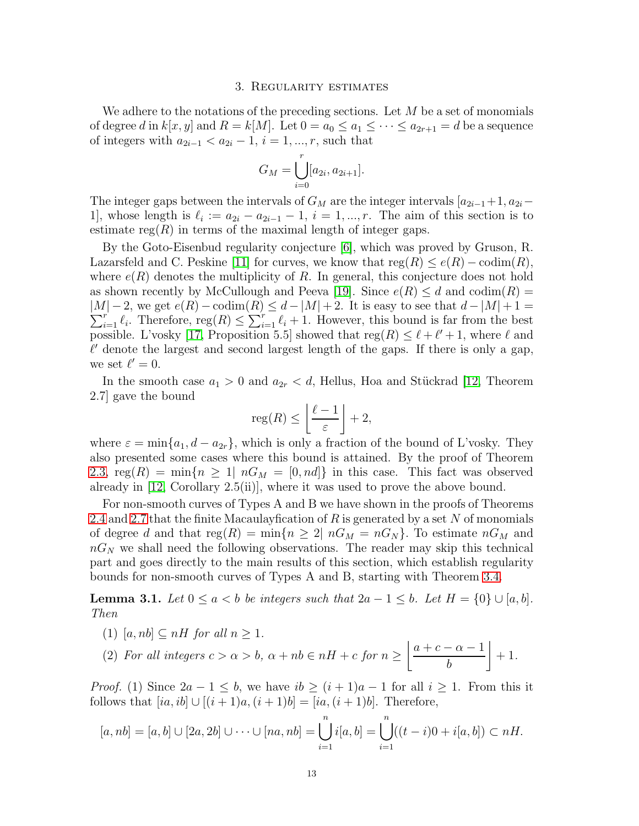#### 3. Regularity estimates

We adhere to the notations of the preceding sections. Let  $M$  be a set of monomials of degree d in  $k[x, y]$  and  $R = k[M]$ . Let  $0 = a_0 \le a_1 \le \cdots \le a_{2r+1} = d$  be a sequence of integers with  $a_{2i-1} < a_{2i} − 1$ ,  $i = 1, ..., r$ , such that

$$
G_M = \bigcup_{i=0}^r [a_{2i}, a_{2i+1}].
$$

The integer gaps between the intervals of  $G_M$  are the integer intervals  $[a_{2i-1}+1, a_{2i}-1]$ 1], whose length is  $\ell_i := a_{2i} - a_{2i-1} - 1$ ,  $i = 1, ..., r$ . The aim of this section is to estimate  $reg(R)$  in terms of the maximal length of integer gaps.

By the Goto-Eisenbud regularity conjecture [\[6\]](#page-21-4), which was proved by Gruson, R. Lazarsfeld and C. Peskine [\[11\]](#page-21-5) for curves, we know that  $reg(R) \leq e(R) - codim(R)$ , where  $e(R)$  denotes the multiplicity of R. In general, this conjecture does not hold as shown recently by McCullough and Peeva [\[19\]](#page-21-22). Since  $e(R) \leq d$  and  $\text{codim}(R) =$  $|M| - 2$ , we get  $e(R) - \text{codim}(R) \leq d - |M| + 2$ . It is easy to see that  $d - |M| + 1 =$  $\sum_{i=1}^r \ell_i$ . Therefore,  $reg(R) \leq \sum_{i=1}^r \ell_i + 1$ . However, this bound is far from the best possible. L'vosky [\[17,](#page-21-6) Proposition 5.5] showed that  $reg(R) \leq \ell + \ell' + 1$ , where  $\ell$  and  $\ell'$  denote the largest and second largest length of the gaps. If there is only a gap, we set  $\ell'=0$ .

In the smooth case  $a_1 > 0$  and  $a_{2r} < d$ , Hellus, Hoa and Stückrad [\[12,](#page-21-7) Theorem 2.7] gave the bound

$$
\operatorname{reg}(R) \le \left\lfloor \frac{\ell-1}{\varepsilon} \right\rfloor + 2,
$$

where  $\varepsilon = \min\{a_1, d - a_{2r}\}\$ , which is only a fraction of the bound of L'vosky. They also presented some cases where this bound is attained. By the proof of Theorem [2.3,](#page-8-2)  $reg(R) = min\{n \ge 1 | nG_M = [0, nd]\}\$ in this case. This fact was observed already in [\[12,](#page-21-7) Corollary 2.5(ii)], where it was used to prove the above bound.

For non-smooth curves of Types A and B we have shown in the proofs of Theorems [2.4](#page-8-0) and [2.7](#page-10-0) that the finite Macaulay fication of R is generated by a set N of monomials of degree d and that  $reg(R) = min\{n \geq 2 | nG_M = nG_N\}$ . To estimate  $nG_M$  and  $nG_N$  we shall need the following observations. The reader may skip this technical part and goes directly to the main results of this section, which establish regularity bounds for non-smooth curves of Types A and B, starting with Theorem [3.4.](#page-13-0)

<span id="page-12-0"></span>**Lemma 3.1.** Let  $0 \le a < b$  be integers such that  $2a - 1 \le b$ . Let  $H = \{0\} \cup [a, b]$ . Then

(1)  $[a, nb] \subseteq nH$  for all  $n \geq 1$ .

(2) For all integers 
$$
c > \alpha > b
$$
,  $\alpha + nb \in nH + c$  for  $n \ge \left\lfloor \frac{a+c-\alpha-1}{b} \right\rfloor + 1$ .

*Proof.* (1) Since  $2a - 1 \leq b$ , we have  $ib \geq (i + 1)a - 1$  for all  $i \geq 1$ . From this it follows that  $[ia, ib] \cup [(i + 1)a, (i + 1)b] = [ia, (i + 1)b]$ . Therefore,

$$
[a, nb] = [a, b] \cup [2a, 2b] \cup \cdots \cup [na, nb] = \bigcup_{i=1}^{n} i[a, b] = \bigcup_{i=1}^{n} ((t - i)0 + i[a, b]) \subset nH.
$$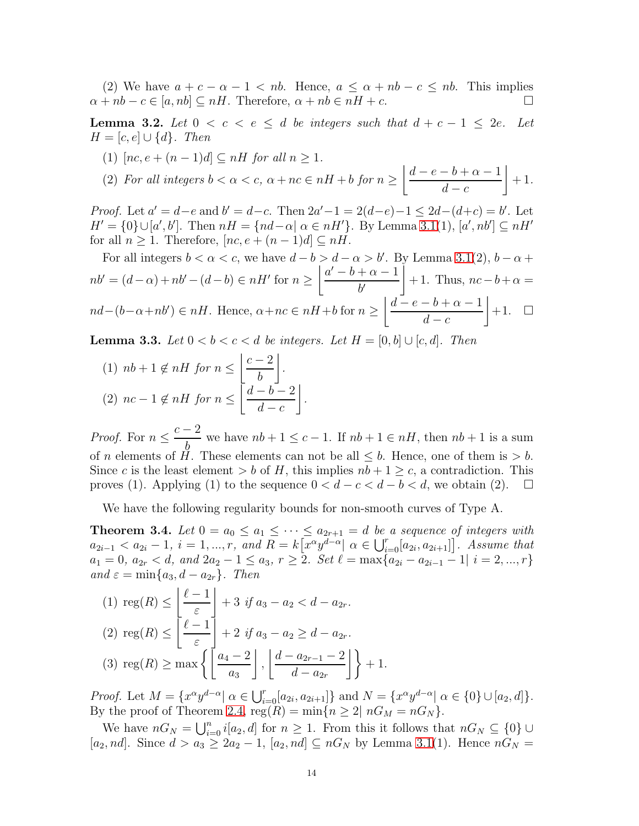(2) We have  $a + c - \alpha - 1 < nb$ . Hence,  $a \leq \alpha + nb - c \leq nb$ . This implies  $\alpha + nb - c \in [a, nb] \subseteq nH$ . Therefore,  $\alpha + nb \in nH + c$ .

<span id="page-13-1"></span>**Lemma 3.2.** Let  $0 < c < e \leq d$  be integers such that  $d + c - 1 \leq 2e$ . Let  $H = [c, e] \cup \{d\}$ . Then

(1)  $[nc, e + (n-1)d] \subseteq nH$  for all  $n \geq 1$ .

(2) For all integers 
$$
b < \alpha < c
$$
,  $\alpha + nc \in nH + b$  for  $n \ge \left\lfloor \frac{d-e-b+\alpha-1}{d-c} \right\rfloor + 1$ .

*Proof.* Let  $a' = d - e$  and  $b' = d - c$ . Then  $2a' - 1 = 2(d - e) - 1 \leq 2d - (d + c) = b'$ . Let  $H' = \{0\} \cup [a', b']$ . Then  $nH = \{nd - \alpha | \alpha \in nH'\}$ . By Lemma [3.1\(](#page-12-0)1),  $[a', nb'] \subseteq nH'$ for all  $n \geq 1$ . Therefore,  $[nc, e + (n-1)d] \subseteq nH$ .

For all integers  $b < \alpha < c$ , we have  $d - b > d - \alpha > b'$ . By Lemma [3.1\(](#page-12-0)2),  $b - \alpha +$  $nb' = (d - \alpha) + nb' - (d - b) \in nH'$  for  $n \ge$  $|a'-b+\alpha-1|$  $b^{\prime}$  $\overline{1}$  $+ 1$ . Thus,  $nc - b + \alpha =$  $nd-(b-\alpha+nb') \in nH$ . Hence,  $\alpha+nc \in nH+b$  for  $n \geq$  $\mid d - e - b + \alpha - 1$  $d - c$  $+1. \square$ 

<span id="page-13-2"></span>**Lemma 3.3.** Let  $0 < b < c < d$  be integers. Let  $H = [0, b] \cup [c, d]$ . Then

(1) 
$$
nb + 1 \notin nH
$$
 for  $n \le \left\lfloor \frac{c-2}{b} \right\rfloor$ .  
\n(2)  $nc - 1 \notin nH$  for  $n \le \left\lfloor \frac{d-b-2}{d-c} \right\rfloor$ .

*Proof.* For  $n \leq$  $c-2$ b we have  $nb + 1 \leq c - 1$ . If  $nb + 1 \in nH$ , then  $nb + 1$  is a sum of *n* elements of  $H$ . These elements can not be all  $\leq b$ . Hence, one of them is  $> b$ . Since c is the least element > b of H, this implies  $nb + 1 \ge c$ , a contradiction. This proves (1). Applying (1) to the sequence  $0 < d - c < d - b < d$ , we obtain (2).  $\Box$ 

We have the following regularity bounds for non-smooth curves of Type A.

<span id="page-13-0"></span>**Theorem 3.4.** Let  $0 = a_0 \le a_1 \le \cdots \le a_{2r+1} = d$  be a sequence of integers with  $a_{2i-1} < a_{2i} - 1, i = 1, ..., r, \text{ and } R = k[x^{\alpha}y^{d-\alpha}] \alpha \in \bigcup_{i=0}^{r}[a_{2i}, a_{2i+1}]\big]$ . Assume that  $a_1 = 0, a_{2r} < d, and 2a_2 - 1 \le a_3, r \ge 2.$  Set  $\ell = \max\{a_{2i} - a_{2i-1} - 1 | i = 2, ..., r\}$ and  $\varepsilon = \min\{a_3, d - a_{2r}\}\$ . Then

(1) 
$$
\text{reg}(R) \le \left\lfloor \frac{\ell - 1}{\varepsilon} \right\rfloor + 3 \text{ if } a_3 - a_2 < d - a_{2r}.
$$
  
\n(2)  $\text{reg}(R) \le \left\lfloor \frac{\ell - 1}{\varepsilon} \right\rfloor + 2 \text{ if } a_3 - a_2 \ge d - a_{2r}.$   
\n(3)  $\text{reg}(R) \ge \max \left\{ \left\lfloor \frac{a_4 - 2}{a_3} \right\rfloor, \left\lfloor \frac{d - a_{2r-1} - 2}{d - a_{2r}} \right\rfloor \right\} + 1.$ 

*Proof.* Let  $M = \{x^{\alpha}y^{d-\alpha} | \alpha \in \bigcup_{i=0}^{r}[a_{2i}, a_{2i+1}]\}$  and  $N = \{x^{\alpha}y^{d-\alpha} | \alpha \in \{0\} \cup [a_2, d]\}.$ By the proof of Theorem [2.4,](#page-8-0)  $reg(R) = min\{n \geq 2 | nG_M = nG_N\}.$ 

We have  $nG_N = \bigcup_{i=0}^n i[a_2, d]$  for  $n \geq 1$ . From this it follows that  $nG_N \subseteq \{0\} \cup$  $[a_2, nd]$ . Since  $d > a_3 \ge 2a_2 - 1$ ,  $[a_2, nd] \subseteq nG_N$  by Lemma [3.1\(](#page-12-0)1). Hence  $nG_N =$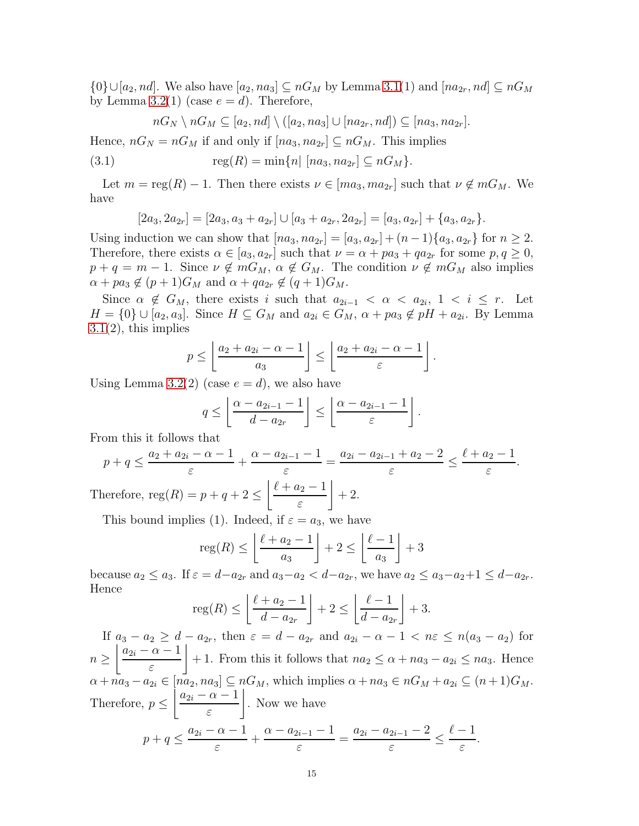$\{0\} \cup [a_2, nd]$ . We also have  $[a_2, na_3] \subseteq nG_M$  by Lemma [3.1\(](#page-12-0)1) and  $[na_{2r}, nd] \subseteq nG_M$ by Lemma [3.2\(](#page-13-1)1) (case  $e = d$ ). Therefore,

$$
nG_N \setminus nG_M \subseteq [a_2, nd] \setminus ([a_2, na_3] \cup [na_{2r}, nd]) \subseteq [na_3, na_{2r}].
$$

Hence,  $nG_N = nG_M$  if and only if  $[na_3, na_{2r}] \subseteq nG_M$ . This implies

(3.1) 
$$
\text{reg}(R) = \min\{n | [na_3, na_{2r}] \subseteq nG_M\}.
$$

Let  $m = \text{reg}(R) - 1$ . Then there exists  $\nu \in [ma_3, ma_{2r}]$  such that  $\nu \notin mG_M$ . We have

$$
[2a_3, 2a_{2r}] = [2a_3, a_3 + a_{2r}] \cup [a_3 + a_{2r}, 2a_{2r}] = [a_3, a_{2r}] + \{a_3, a_{2r}\}.
$$

Using induction we can show that  $[na_3, na_{2r}] = [a_3, a_{2r}] + (n-1)\{a_3, a_{2r}\}\$ for  $n \geq 2$ . Therefore, there exists  $\alpha \in [a_3, a_{2r}]$  such that  $\nu = \alpha + pa_3 + qa_{2r}$  for some  $p, q \ge 0$ ,  $p + q = m - 1$ . Since  $\nu \notin mG_M$ ,  $\alpha \notin G_M$ . The condition  $\nu \notin mG_M$  also implies  $\alpha + pa_3 \notin (p+1)G_M$  and  $\alpha + qa_{2r} \notin (q+1)G_M$ .

Since  $\alpha \notin G_M$ , there exists i such that  $a_{2i-1} < \alpha < a_{2i}$ ,  $1 < i \leq r$ . Let  $H = \{0\} \cup [a_2, a_3]$ . Since  $H \subseteq G_M$  and  $a_{2i} \in G_M$ ,  $\alpha + pa_3 \notin pH + a_{2i}$ . By Lemma  $3.1(2)$  $3.1(2)$ , this implies

$$
p \le \left\lfloor \frac{a_2 + a_{2i} - \alpha - 1}{a_3} \right\rfloor \le \left\lfloor \frac{a_2 + a_{2i} - \alpha - 1}{\varepsilon} \right\rfloor.
$$

Using Lemma [3.2\(](#page-13-1)2) (case  $e = d$ ), we also have

$$
q \leq \left\lfloor \frac{\alpha - a_{2i-1} - 1}{d - a_{2r}} \right\rfloor \leq \left\lfloor \frac{\alpha - a_{2i-1} - 1}{\varepsilon} \right\rfloor.
$$

From this it follows that

$$
p + q \le \frac{a_2 + a_{2i} - \alpha - 1}{\varepsilon} + \frac{\alpha - a_{2i - 1} - 1}{\varepsilon} = \frac{a_{2i} - a_{2i - 1} + a_2 - 2}{\varepsilon} \le \frac{\ell + a_2 - 1}{\varepsilon}.
$$
  
Therefore,  $\text{reg}(R) = p + q + 2 \le \left\lfloor \frac{\ell + a_2 - 1}{\varepsilon} \right\rfloor + 2.$ 

This bound implies (1). Indeed, if  $\varepsilon = a_3$ , we have

$$
reg(R) \le \left\lfloor \frac{\ell + a_2 - 1}{a_3} \right\rfloor + 2 \le \left\lfloor \frac{\ell - 1}{a_3} \right\rfloor + 3
$$

because  $a_2 \le a_3$ . If  $\varepsilon = d - a_{2r}$  and  $a_3 - a_2 < d - a_{2r}$ , we have  $a_2 \le a_3 - a_2 + 1 \le d - a_{2r}$ . Hence

$$
\operatorname{reg}(R) \le \left\lfloor \frac{\ell + a_2 - 1}{d - a_{2r}} \right\rfloor + 2 \le \left\lfloor \frac{\ell - 1}{d - a_{2r}} \right\rfloor + 3.
$$

If  $a_3 - a_2 \geq d - a_{2r}$ , then  $\varepsilon = d - a_{2r}$  and  $a_{2i} - a - 1 < n\varepsilon \leq n(a_3 - a_2)$  for  $n \geq$  $|a_{2i} - \alpha - 1|$ ε  $\overline{1}$ + 1. From this it follows that  $na_2 \leq \alpha + na_3 - a_{2i} \leq na_3$ . Hence  $\alpha + n\bar{a}_3 - a_{2i} \in [n\bar{a}_2, n\bar{a}_3] \subseteq nG_M$ , which implies  $\alpha + n\bar{a}_3 \in nG_M + a_{2i} \subseteq (n+1)G_M$ . Therefore,  $p \leq$  $|a_{2i} - \alpha - 1|$ ε  $\overline{1}$ . Now we have  $p + q \leq \frac{a_{2i} - \alpha - 1}{\alpha}$ ε  $+\frac{\alpha - a_{2i-1} - 1}{}$ ε  $=\frac{a_{2i}-a_{2i-1}-2}{a_{2i-1}-a_{2i}}$ ε ≤  $\ell-1$ ε .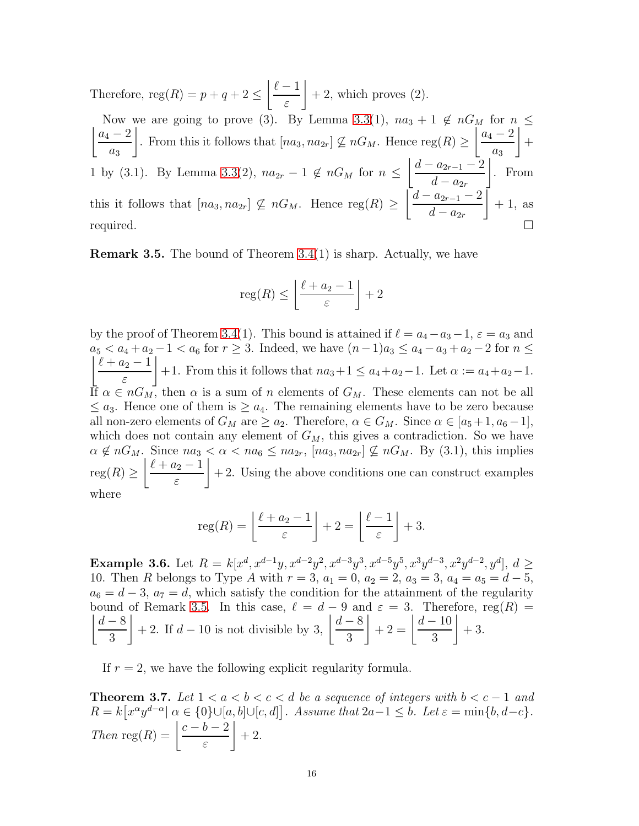Therefore,  $reg(R) = p + q + 2 \leq$  $\ell-1$ ε  $\overline{1}$  $+ 2$ , which proves  $(2)$ .  $|a_4 - 2$ Now we are going to prove (3). By Lemma [3.3\(](#page-13-2)1),  $na_3 + 1 \notin nG_M$  for  $n \leq$  $a_3$  $\overline{1}$ . From this it follows that  $[na_3, na_{2r}] \nsubseteq nG_M$ . Hence reg $(R) \geq$  $|a_4 - 2$  $a_3$  $\overline{1}$  $+$ 1 by (3.1). By Lemma [3.3\(](#page-13-2)2),  $na_{2r} - 1 \notin nG_M$  for  $n \leq$  $\mid d - a_{2r-1} - 2$  $d - a_{2r}$  $\overline{1}$ . From this it follows that  $[na_3, na_{2r}] \nsubseteq nG_M$ . Hence reg $(R) \geq$  $\mid d - a_{2r-1} - 2$  $d - a_{2r}$  $\overline{1}$  $+1$ , as required.  $\square$ 

<span id="page-15-1"></span>**Remark 3.5.** The bound of Theorem  $3.4(1)$  is sharp. Actually, we have

$$
\operatorname{reg}(R) \le \left\lfloor \frac{\ell + a_2 - 1}{\varepsilon} \right\rfloor + 2
$$

by the proof of Theorem [3.4\(](#page-13-0)1). This bound is attained if  $\ell = a_4 - a_3 - 1$ ,  $\varepsilon = a_3$  and  $a_5 < a_4 + a_2 - 1 < a_6$  for  $r \ge 3$ . Indeed, we have  $(n-1)a_3 \le a_4 - a_3 + a_2 - 2$  for  $n \le$  $\ell + a_2 - 1$ ε  $\overline{1}$ +1. From this it follows that  $na_3+1 \leq a_4+a_2-1$ . Let  $\alpha := a_4+a_2-1$ . If  $\alpha \in nG_M$ , then  $\alpha$  is a sum of n elements of  $G_M$ . These elements can not be all  $\leq a_3$ . Hence one of them is  $\geq a_4$ . The remaining elements have to be zero because all non-zero elements of  $G_M$  are  $\ge a_2$ . Therefore,  $\alpha \in G_M$ . Since  $\alpha \in [a_5+1, a_6-1]$ , which does not contain any element of  $G_M$ , this gives a contradiction. So we have  $\alpha \notin nG_M$ . Since  $na_3 < \alpha < na_6 \leq na_{2r}$ ,  $[na_3, na_{2r}] \nsubseteq nG_M$ . By (3.1), this implies  $reg(R) \geq$  $\ell + a_2 - 1$ ε  $\overline{1}$  $+ 2$ . Using the above conditions one can construct examples where

$$
reg(R) = \left\lfloor \frac{\ell + a_2 - 1}{\varepsilon} \right\rfloor + 2 = \left\lfloor \frac{\ell - 1}{\varepsilon} \right\rfloor + 3.
$$

**Example 3.6.** Let  $R = k[x^d, x^{d-1}y, x^{d-2}y^2, x^{d-3}y^3, x^{d-5}y^5, x^3y^{d-3}, x^2y^{d-2}, y^d]$ ,  $d \geq$ 10. Then R belongs to Type A with  $r = 3$ ,  $a_1 = 0$ ,  $a_2 = 2$ ,  $a_3 = 3$ ,  $a_4 = a_5 = d - 5$ ,  $a_6 = d - 3$ ,  $a_7 = d$ , which satisfy the condition for the attainment of the regularity  $\overline{1}$ bound of Remark [3.5.](#page-15-1) In this case,  $\ell = d - 9$  and  $\varepsilon = 3$ . Therefore, reg(R) =  $d-8$ 3  $\left| +2. \text{ If } d-10 \text{ is not divisible by } 3, \left| \frac{d-8}{2} \right| \right.$ 3  $+ 2 = \frac{d-10}{2}$ 3  $\overline{1}$  $+3.$ 

If  $r = 2$ , we have the following explicit regularity formula.

<span id="page-15-0"></span>**Theorem 3.7.** Let  $1 < a < b < c < d$  be a sequence of integers with  $b < c - 1$  and  $R = k[x^{\alpha}y^{d-\alpha}] \alpha \in \{0\} \cup [a, b] \cup [c, d]$ . Assume that  $2a-1 \leq b$ . Let  $\varepsilon = \min\{b, d-c\}$ . Then reg(R) =  $\frac{c-b-2}{2}$ ε  $\overline{1}$  $+$  2.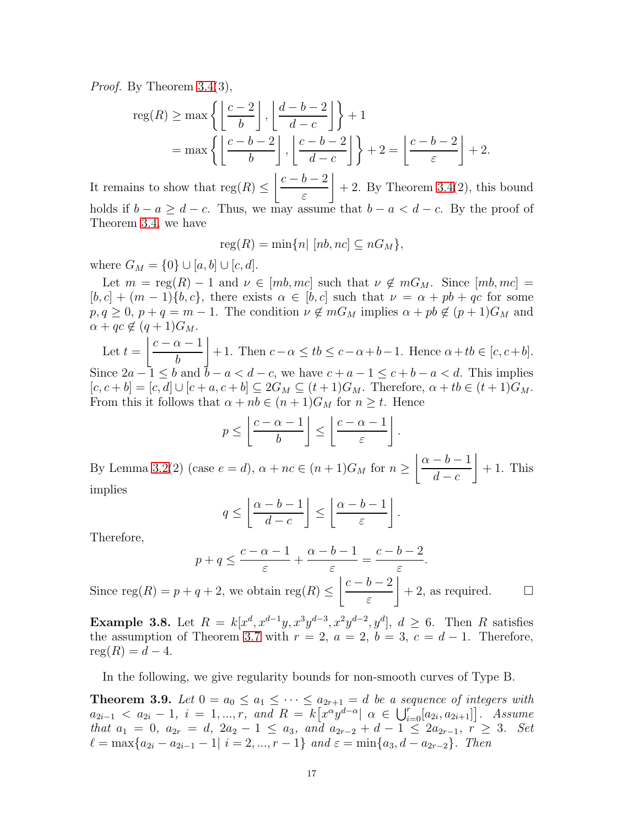Proof. By Theorem [3.4\(](#page-13-0)3),

$$
\operatorname{reg}(R) \ge \max\left\{ \left\lfloor \frac{c-2}{b} \right\rfloor, \left\lfloor \frac{d-b-2}{d-c} \right\rfloor \right\} + 1
$$
  
=  $\max\left\{ \left\lfloor \frac{c-b-2}{b} \right\rfloor, \left\lfloor \frac{c-b-2}{d-c} \right\rfloor \right\} + 2 = \left\lfloor \frac{c-b-2}{\varepsilon} \right\rfloor + 2.$ 

It remains to show that  $reg(R) \leq$  $c - b - 2$ ε  $\overline{1}$  $+ 2$ . By Theorem [3.4\(](#page-13-0)2), this bound holds if  $b - a \geq d - c$ . Thus, we may assume that  $b - a < d - c$ . By the proof of Theorem [3.4,](#page-13-0) we have

 $reg(R) = min\{n | [nb, nc] \subseteq nG_M\},\$ 

where  $G_M = \{0\} \cup [a, b] \cup [c, d]$ .

Let  $m = \text{reg}(R) - 1$  and  $\nu \in [mb, mc]$  such that  $\nu \notin mG_M$ . Since  $[mb, mc] =$  $[b, c] + (m-1)\{b, c\}$ , there exists  $\alpha \in [b, c]$  such that  $\nu = \alpha + pb + qc$  for some  $p, q \geq 0, p + q = m - 1$ . The condition  $\nu \notin mG_M$  implies  $\alpha + pb \notin (p + 1)G_M$  and  $\alpha + qc \notin (q+1)G_M.$ 

Let  $t =$  $c - \alpha - 1$ b  $\overline{1}$ + 1. Then  $c-\alpha \leq tb \leq c-\alpha+b-1$ . Hence  $\alpha+tb \in [c, c+b]$ . Since  $2a - 1 \le b$  and  $\bar{b} - a < d - c$ , we have  $c + a - 1 \le c + b - a < d$ . This implies  $[c, c + b] = [c, d] \cup [c + a, c + b] \subseteq 2G_M \subseteq (t + 1)G_M$ . Therefore,  $\alpha + tb \in (t + 1)G_M$ . From this it follows that  $\alpha + nb \in (n+1)G_M$  for  $n \geq t$ . Hence

$$
p \le \left\lfloor \frac{c-\alpha-1}{b} \right\rfloor \le \left\lfloor \frac{c-\alpha-1}{\varepsilon} \right\rfloor.
$$

By Lemma [3.2\(](#page-13-1)2) (case  $e = d$ ),  $\alpha + nc \in (n + 1)G_M$  for  $n \ge$  $\alpha - b - 1$  $d - c$  $\overline{1}$  $+1$ . This implies

$$
q \le \left\lfloor \frac{\alpha - b - 1}{d - c} \right\rfloor \le \left\lfloor \frac{\alpha - b - 1}{\varepsilon} \right\rfloor.
$$

Therefore,

$$
p + q \le \frac{c - \alpha - 1}{\varepsilon} + \frac{\alpha - b - 1}{\varepsilon} = \frac{c - b - 2}{\varepsilon}.
$$

Since  $reg(R) = p + q + 2$ , we obtain  $reg(R) \leq$  $c - b - 2$ ε  $+ 2$ , as required.  $\square$ 

**Example 3.8.** Let  $R = k[x^d, x^{d-1}y, x^3y^{d-3}, x^2y^{d-2}, y^d], d \geq 6$ . Then R satisfies the assumption of Theorem [3.7](#page-15-0) with  $r = 2$ ,  $a = 2$ ,  $b = 3$ ,  $c = d - 1$ . Therefore,  $reg(R) = d - 4.$ 

In the following, we give regularity bounds for non-smooth curves of Type B.

<span id="page-16-0"></span>**Theorem 3.9.** Let  $0 = a_0 \le a_1 \le \cdots \le a_{2r+1} = d$  be a sequence of integers with  $a_{2i-1} < a_{2i} - 1, i = 1, ..., r, and R = k[x^{\alpha}y^{d-\alpha}] \alpha \in \bigcup_{i=0}^{r} [a_{2i}, a_{2i+1}]$ . Assume that  $a_1 = 0$ ,  $a_{2r} = d$ ,  $2a_2 - 1 \le a_3$ , and  $a_{2r-2} + d - 1 \le 2a_{2r-1}$ ,  $r \ge 3$ . Set  $\ell = \max\{a_{2i} - a_{2i-1} - 1 | i = 2, ..., r - 1\}$  and  $\varepsilon = \min\{a_3, d - a_{2r-2}\}.$  Then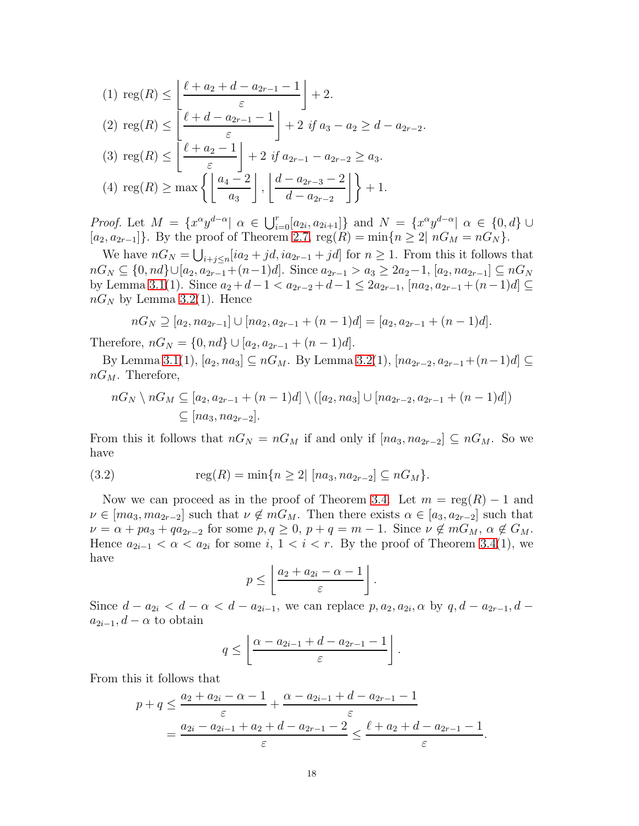$$
(1) \operatorname{reg}(R) \le \left\lfloor \frac{\ell + a_2 + d - a_{2r-1} - 1}{\varepsilon} \right\rfloor + 2.
$$
\n
$$
(2) \operatorname{reg}(R) \le \left\lfloor \frac{\ell + d - a_{2r-1} - 1}{\varepsilon} \right\rfloor + 2 \text{ if } a_3 - a_2 \ge d - a_{2r-2}.
$$
\n
$$
(3) \operatorname{reg}(R) \le \left\lfloor \frac{\ell + a_2 - 1}{\varepsilon} \right\rfloor + 2 \text{ if } a_{2r-1} - a_{2r-2} \ge a_3.
$$
\n
$$
(4) \operatorname{reg}(R) \ge \max \left\{ \left\lfloor \frac{a_4 - 2}{a_3} \right\rfloor, \left\lfloor \frac{d - a_{2r-3} - 2}{d - a_{2r-2}} \right\rfloor \right\} + 1.
$$

*Proof.* Let  $M = \{x^{\alpha}y^{d-\alpha} | \alpha \in \bigcup_{i=0}^{r}[a_{2i}, a_{2i+1}]\}$  and  $N = \{x^{\alpha}y^{d-\alpha} | \alpha \in \{0, d\} \cup \{0, d\}$  $[a_2, a_{2r-1}]\}.$  By the proof of Theorem [2.7,](#page-10-0)  $reg(R) = min\{n \geq 2 | nG_M = nG_N\}.$ 

We have  $nG_N = \bigcup_{i+j \leq n} [ia_2 + jd, ia_{2r-1} + jd]$  for  $n \geq 1$ . From this it follows that  $nG_N \subseteq \{0, nd\} \cup [a_2, a_{2r-1}+(n-1)d]$ . Since  $a_{2r-1} > a_3 \geq 2a_2-1$ ,  $[a_2, na_{2r-1}] \subseteq nG_N$ by Lemma [3.1\(](#page-12-0)1). Since  $a_2 + d - 1 < a_{2r-2} + d - 1 \leq 2a_{2r-1}$ ,  $[na_2, a_{2r-1} + (n-1)d] \subseteq$  $nG_N$  by Lemma [3.2\(](#page-13-1)1). Hence

$$
nG_N \supseteq [a_2, na_{2r-1}] \cup [na_2, a_{2r-1} + (n-1)d] = [a_2, a_{2r-1} + (n-1)d].
$$

Therefore,  $nG_N = \{0, nd\} \cup [a_2, a_{2r-1} + (n-1)d].$ 

By Lemma [3.1\(](#page-12-0)1),  $[a_2, na_3] \subseteq nG_M$ . By Lemma [3.2\(](#page-13-1)1),  $[na_{2r-2}, a_{2r-1}+(n-1)d] \subseteq$  $nG_M$ . Therefore,

$$
nG_N \setminus nG_M \subseteq [a_2, a_{2r-1} + (n-1)d] \setminus ([a_2, na_3] \cup [na_{2r-2}, a_{2r-1} + (n-1)d])
$$
  

$$
\subseteq [na_3, na_{2r-2}].
$$

From this it follows that  $nG_N = nG_M$  if and only if  $[na_3, na_{2r-2}] \subseteq nG_M$ . So we have

(3.2) 
$$
\text{reg}(R) = \min\{n \ge 2 | [na_3, na_{2r-2}] \subseteq nG_M\}.
$$

Now we can proceed as in the proof of Theorem [3.4.](#page-13-0) Let  $m = \text{reg}(R) - 1$  and  $\nu \in [ma_3, ma_{2r-2}]$  such that  $\nu \notin mG_M$ . Then there exists  $\alpha \in [a_3, a_{2r-2}]$  such that  $\nu = \alpha + pa_3 + qa_{2r-2}$  for some  $p, q \geq 0$ ,  $p + q = m - 1$ . Since  $\nu \notin mG_M$ ,  $\alpha \notin G_M$ . Hence  $a_{2i-1} < \alpha < a_{2i}$  for some  $i, 1 < i < r$ . By the proof of Theorem [3.4\(](#page-13-0)1), we have

$$
p \leq \left\lfloor \frac{a_2 + a_{2i} - \alpha - 1}{\varepsilon} \right\rfloor.
$$

Since  $d - a_{2i} < d - \alpha < d - a_{2i-1}$ , we can replace  $p, a_2, a_{2i}, \alpha$  by  $q, d - a_{2r-1}, d$  $a_{2i-1}, d-\alpha$  to obtain

$$
q \leq \left\lfloor \frac{\alpha - a_{2i-1} + d - a_{2r-1} - 1}{\varepsilon} \right\rfloor.
$$

From this it follows that

$$
p + q \le \frac{a_2 + a_{2i} - \alpha - 1}{\varepsilon} + \frac{\alpha - a_{2i-1} + d - a_{2r-1} - 1}{\varepsilon}
$$
  
= 
$$
\frac{a_{2i} - a_{2i-1} + a_2 + d - a_{2r-1} - 2}{\varepsilon} \le \frac{\ell + a_2 + d - a_{2r-1} - 1}{\varepsilon}
$$

.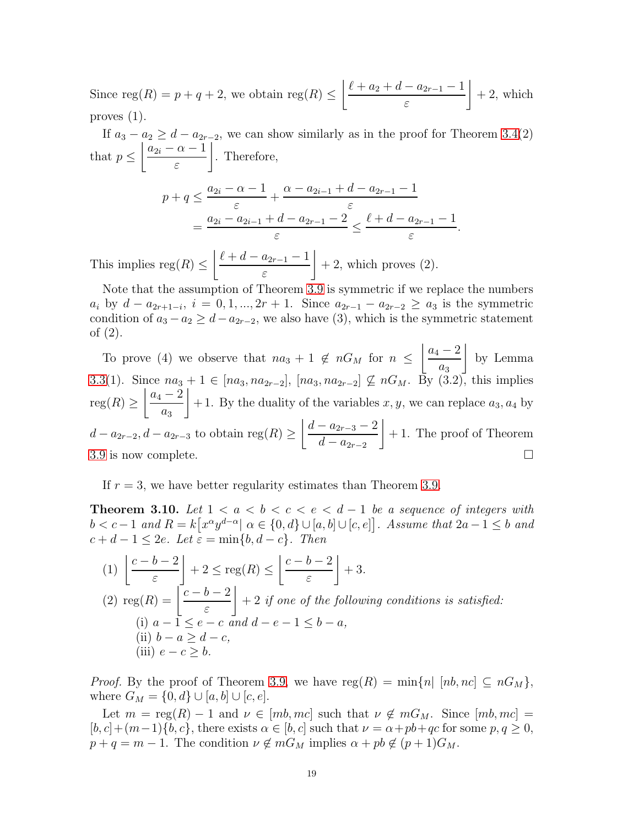Since  $reg(R) = p + q + 2$ , we obtain  $reg(R) \leq$  $\ell + a_2 + d - a_{2r-1} - 1$ ε  $\overline{1}$  $+ 2$ , which proves  $(1)$ .

If  $a_3 - a_2 \geq d - a_{2r-2}$ , we can show similarly as in the proof for Theorem [3.4\(](#page-13-0)2) that  $p \leq$  $|a_{2i} - \alpha - 1|$ ε  $\overline{1}$ . Therefore,

$$
p + q \le \frac{a_{2i} - \alpha - 1}{\varepsilon} + \frac{\alpha - a_{2i-1} + d - a_{2r-1} - 1}{\varepsilon}
$$
  
= 
$$
\frac{a_{2i} - a_{2i-1} + d - a_{2r-1} - 2}{\varepsilon} \le \frac{\ell + d - a_{2r-1} - 1}{\varepsilon}.
$$

This implies  $reg(R) \leq$  $\left| \ell + d - a_{2r-1} - 1 \right|$ ε  $\overline{1}$  $+ 2$ , which proves  $(2)$ .

Note that the assumption of Theorem [3.9](#page-16-0) is symmetric if we replace the numbers  $a_i$  by  $d - a_{2r+1-i}$ ,  $i = 0, 1, ..., 2r + 1$ . Since  $a_{2r-1} - a_{2r-2} \ge a_3$  is the symmetric condition of  $a_3 - a_2 \geq d - a_{2r-2}$ , we also have (3), which is the symmetric statement of (2).

To prove (4) we observe that  $na_3 + 1 \notin nG_M$  for  $n \leq$  $|a_4 - 2$  $a_3$  $\overline{1}$ by Lemma [3.3\(](#page-13-2)1). Since  $na_3 + 1 \in [na_3, na_{2r-2}], [na_3, na_{2r-2}] \nsubseteq nG_M$ . By (3.2), this implies  ${\rm reg}(R)\geq$  $|a_4 - 2$  $a_3$  $\overline{1}$  $+ 1$ . By the duality of the variables  $x, y$ , we can replace  $a_3, a_4$  by  $d - a_{2r-2}, d - a_{2r-3}$  to obtain reg $(R) \ge$  $\mid d - a_{2r-3} - 2$  $d - a_{2r-2}$  $\overline{1}$ + 1. The proof of Theorem [3.9](#page-16-0) is now complete.  $\Box$ 

If  $r = 3$ , we have better regularity estimates than Theorem [3.9.](#page-16-0)

<span id="page-18-0"></span>**Theorem 3.10.** Let  $1 < a < b < c < e < d-1$  be a sequence of integers with  $b < c-1$  and  $R = k[x^{\alpha}y^{d-\alpha}] \alpha \in \{0, d\} \cup [a, b] \cup [c, e]$ . Assume that  $2a-1 \leq b$  and  $c + d - 1 \leq 2e$ . Let  $\varepsilon = \min\{b, d - c\}$ . Then

(1) 
$$
\left\lfloor \frac{c-b-2}{\varepsilon} \right\rfloor + 2 \le \text{reg}(R) \le \left\lfloor \frac{c-b-2}{\varepsilon} \right\rfloor + 3.
$$
  
(2) 
$$
\text{reg}(R) = \left\lfloor \frac{c-b-2}{\varepsilon} \right\rfloor + 2 \text{ if one of the following conditions is satisfied:}
$$
  
(i)  $a-1 \le e-c$  and  $d-e-1 \le b-a$ ,  
(ii)  $b-a \ge d-c$ ,  
(iii)  $e-c \ge b$ .

*Proof.* By the proof of Theorem [3.9,](#page-16-0) we have  $reg(R) = min\{n | [nb, nc] \subseteq nG_M\},\$ where  $G_M = \{0, d\} \cup [a, b] \cup [c, e].$ 

Let  $m = \text{reg}(R) - 1$  and  $\nu \in [mb, mc]$  such that  $\nu \notin mG_M$ . Since  $[mb, mc] =$  $[b, c] + (m-1)\{b, c\}$ , there exists  $\alpha \in [b, c]$  such that  $\nu = \alpha + pb + qc$  for some  $p, q \ge 0$ ,  $p + q = m - 1$ . The condition  $\nu \notin mG_M$  implies  $\alpha + pb \notin (p+1)G_M$ .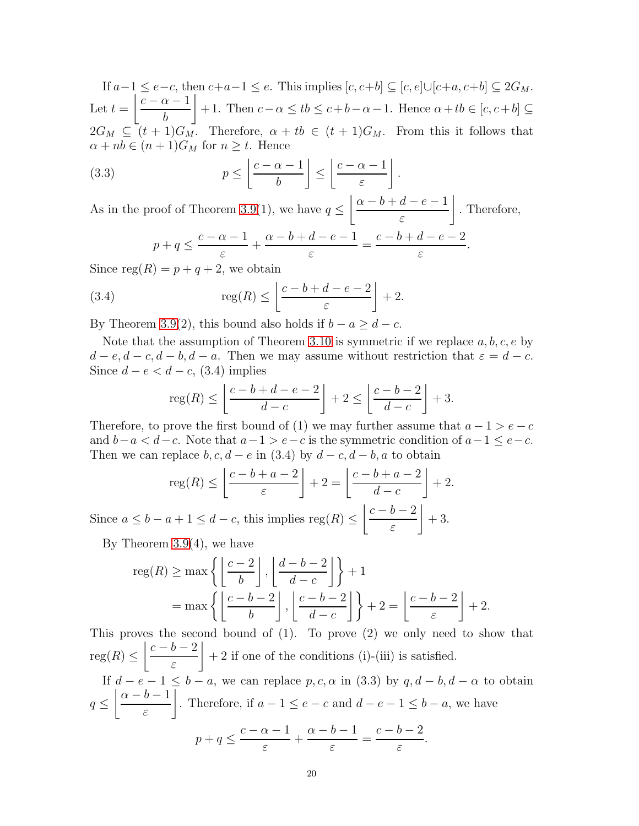If  $a-1 \le e-c$ , then  $c+a-1 \le e$ . This implies  $[c, c+b] \subseteq [c, e] \cup [c+a, c+b] \subseteq 2G_M$ . Let  $t =$  $c - \alpha - 1$ b  $\overline{1}$ + 1. Then  $c-\alpha \leq tb \leq c+b-\alpha-1$ . Hence  $\alpha+tb \in [c, c+b] \subseteq$  $2G_M \subseteq (t+1)G_M$ . Therefore,  $\alpha + tb \in (t+1)G_M$ . From this it follows that  $\alpha + nb \in (n+1)G_M$  for  $n \geq t$ . Hence

(3.3) 
$$
p \le \left\lfloor \frac{c - \alpha - 1}{b} \right\rfloor \le \left\lfloor \frac{c - \alpha - 1}{\varepsilon} \right\rfloor.
$$

As in the proof of Theorem [3.9\(](#page-16-0)1), we have  $q \leq$  $\begin{array}{c} \n\alpha - b + d - e - 1\n\end{array}$ ε  $\overline{1}$ . Therefore,  $p + q \leq$  $c - \alpha - 1$ ε  $+$  $\alpha - b + d - e - 1$ ε =  $c - b + d - e - 2$ ε .

Since  $reg(R) = p + q + 2$ , we obtain

(3.4) 
$$
\operatorname{reg}(R) \le \left\lfloor \frac{c-b+d-e-2}{\varepsilon} \right\rfloor + 2.
$$

By Theorem [3.9\(](#page-16-0)2), this bound also holds if  $b - a \geq d - c$ .

Note that the assumption of Theorem [3.10](#page-18-0) is symmetric if we replace  $a, b, c, e$  by  $d - e, d - c, d - b, d - a$ . Then we may assume without restriction that  $\varepsilon = d - c$ . Since  $d - e < d - c$ , (3.4) implies

$$
\operatorname{reg}(R) \le \left\lfloor \frac{c-b+d-e-2}{d-c} \right\rfloor + 2 \le \left\lfloor \frac{c-b-2}{d-c} \right\rfloor + 3.
$$

Therefore, to prove the first bound of (1) we may further assume that  $a - 1 > e - c$ and  $b-a < d-c$ . Note that  $a-1 > e-c$  is the symmetric condition of  $a-1 \le e-c$ . Then we can replace  $b, c, d - e$  in (3.4) by  $d - c, d - b, a$  to obtain

$$
\operatorname{reg}(R) \le \left\lfloor \frac{c - b + a - 2}{\varepsilon} \right\rfloor + 2 = \left\lfloor \frac{c - b + a - 2}{d - c} \right\rfloor + 2.
$$

Since  $a \leq b - a + 1 \leq d - c$ , this implies  $reg(R) \leq$  $c - b - 2$ ε  $\overline{1}$  $+3.$ 

By Theorem [3.9\(](#page-16-0)4), we have

$$
\operatorname{reg}(R) \ge \max\left\{ \left\lfloor \frac{c-2}{b} \right\rfloor, \left\lfloor \frac{d-b-2}{d-c} \right\rfloor \right\} + 1
$$
  
=  $\max\left\{ \left\lfloor \frac{c-b-2}{b} \right\rfloor, \left\lfloor \frac{c-b-2}{d-c} \right\rfloor \right\} + 2 = \left\lfloor \frac{c-b-2}{\varepsilon} \right\rfloor + 2.$ 

This proves the second bound of  $(1)$ . To prove  $(2)$  we only need to show that  ${\rm reg}(R)\leq$  $c - b - 2$ ε  $\overline{1}$ + 2 if one of the conditions (i)-(iii) is satisfied. If  $d - e - 1 \leq b - a$ , we can replace p, c,  $\alpha$  in (3.3) by  $q, d - b, d - \alpha$  to obtain  $q \leq$  $\alpha - b - 1$ ε  $\overline{1}$ . Therefore, if  $a - 1 \le e - c$  and  $d - e - 1 \le b - a$ , we have  $p + q \leq$  $c - \alpha - 1$ ε  $+$  $\alpha - b - 1$ ε =  $c-b-2$ ε .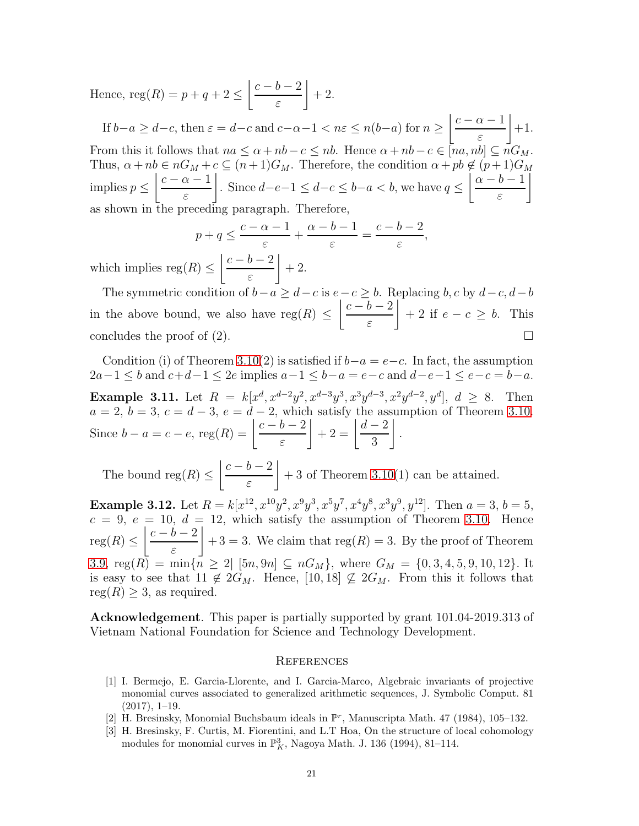Hence,  $reg(R) = p + q + 2 \leq$  $c - b - 2$ ε  $\overline{1}$  $+2.$ 

If  $b-a \geq d-c$ , then  $\varepsilon = d-c$  and  $c-\alpha-1 < n\varepsilon \leq n(b-a)$  for  $n \geq$  $c - \alpha - 1$ ε  $\overline{1}$  $+1.$ From this it follows that  $na \le \alpha + nb - c \le nb$ . Hence  $\alpha + nb - c \in [na, nb] \subset nG_M$ . Thus,  $\alpha + nb \in nG_M + c \subseteq (n+1)G_M$ . Therefore, the condition  $\alpha + pb \notin (p+1)G_M$ implies  $p \leq$  $c - \alpha - 1$ ε  $\overline{1}$ . Since  $d-e-1 \leq d-c \leq b-a < b$ , we have  $q \leq$  $\alpha - b - 1$ ε  $\overline{1}$ as shown in the preceding paragraph. Therefore,

$$
p + q \leq \frac{c - \alpha - 1}{\varepsilon} + \frac{\alpha - b - 1}{\varepsilon} = \frac{c - b - 2}{\varepsilon},
$$

which implies  $reg(R) \leq$  $c - b - 2$ ε  $\overline{1}$  $+2.$ 

The symmetric condition of  $b-a \geq d-c$  is  $e-c \geq b$ . Replacing b, c by  $d-c, d-b$ in the above bound, we also have  $reg(R) \leq$  $c - b - 2$ ε  $\overline{1}$  $+ 2$  if  $e - c \geq b$ . This concludes the proof of  $(2)$ .

Condition (i) of Theorem [3.10\(](#page-18-0)2) is satisfied if  $b-a=e-c$ . In fact, the assumption  $2a-1 \leq b$  and  $c+d-1 \leq 2e$  implies  $a-1 \leq b-a = e-c$  and  $d-e-1 \leq e-c = b-a$ . **Example 3.11.** Let  $R = k[x^d, x^{d-2}y^2, x^{d-3}y^3, x^3y^{d-3}, x^2y^{d-2}, y^d], d \geq 8$ . Then  $a = 2, b = 3, c = d - 3, e = d - 2$ , which satisfy the assumption of Theorem [3.10.](#page-18-0) Since  $b - a = c - e$ , reg $(R) = \left| \frac{c - b - 2}{a} \right|$ ε  $\Bigg|+2=\Bigg|\frac{d-2}{2\cdot}$ 3  $\overline{1}$ .

The bound reg $(R) \leq$  $c - b - 2$ ε  $\overline{1}$  $+3$  of Theorem [3.10\(](#page-18-0)1) can be attained.

**Example 3.12.** Let  $R = k[x^{12}, x^{10}y^2, x^9y^3, x^5y^7, x^4y^8, x^3y^9, y^{12}]$ . Then  $a = 3, b = 5$ ,  $c = 9, e = 10, d = 12$ , which satisfy the assumption of Theorem [3.10.](#page-18-0) Hence  $reg(R) \leq$  $c - b - 2$ ε  $\overline{1}$  $+3 = 3$ . We claim that reg(R) = 3. By the proof of Theorem [3.9,](#page-16-0)  $\text{reg}(R) = \min\{\overline{n} \geq 2 | [5n, 9n] \subseteq nG_M\}$ , where  $G_M = \{0, 3, 4, 5, 9, 10, 12\}$ . It is easy to see that  $11 \notin 2G_M$ . Hence,  $[10, 18] \nsubseteq 2G_M$ . From this it follows that  $reg(R) \geq 3$ , as required.

Acknowledgement. This paper is partially supported by grant 101.04-2019.313 of Vietnam National Foundation for Science and Technology Development.

### **REFERENCES**

- <span id="page-20-2"></span>[1] I. Bermejo, E. Garcia-Llorente, and I. Garcia-Marco, Algebraic invariants of projective monomial curves associated to generalized arithmetic sequences, J. Symbolic Comput. 81 (2017), 1–19.
- <span id="page-20-1"></span><span id="page-20-0"></span>[2] H. Bresinsky, Monomial Buchsbaum ideals in  $\mathbb{P}^r$ , Manuscripta Math. 47 (1984), 105-132.
- [3] H. Bresinsky, F. Curtis, M. Fiorentini, and L.T Hoa, On the structure of local cohomology modules for monomial curves in  $\mathbb{P}^3_K$ , Nagoya Math. J. 136 (1994), 81–114.